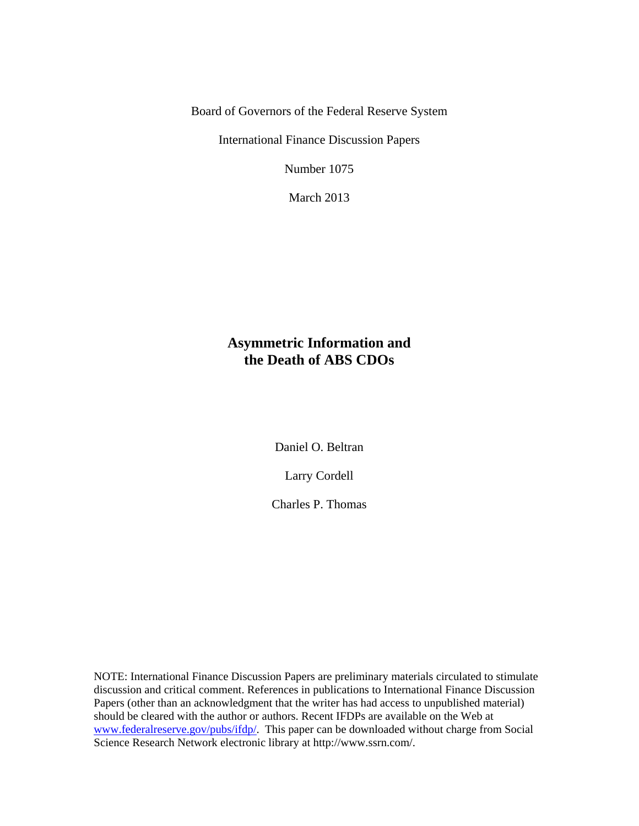Board of Governors of the Federal Reserve System

International Finance Discussion Papers

Number 1075

March 2013

#### **Asymmetric Information and the Death of ABS CDOs**

Daniel O. Beltran

Larry Cordell

Charles P. Thomas

NOTE: International Finance Discussion Papers are preliminary materials circulated to stimulate discussion and critical comment. References in publications to International Finance Discussion Papers (other than an acknowledgment that the writer has had access to unpublished material) should be cleared with the author or authors. Recent IFDPs are available on the Web at www.federalreserve.gov/pubs/ifdp/. This paper can be downloaded without charge from Social Science Research Network electronic library at http://www.ssrn.com/.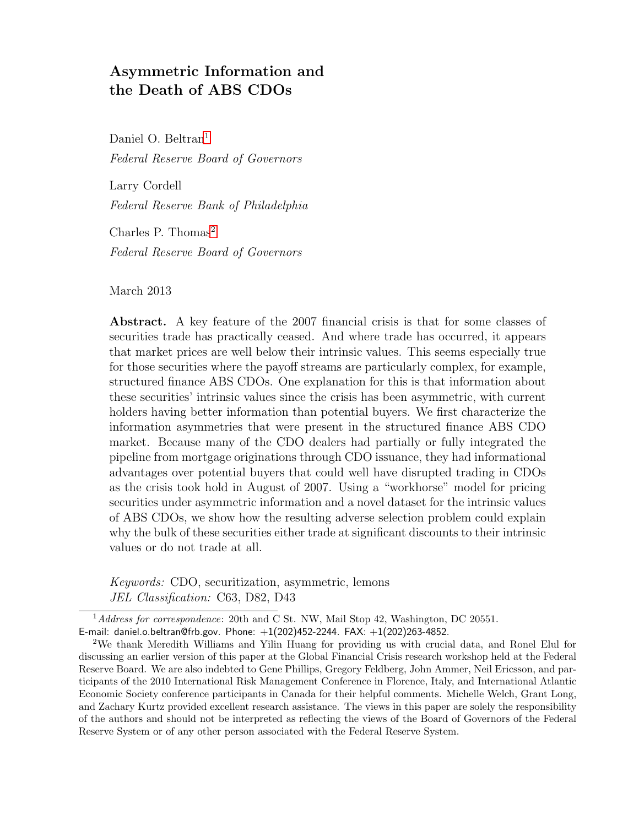#### <span id="page-1-0"></span>Asymmetric Information and the Death of ABS CDOs

Daniel O. Beltran<sup>1</sup> Federal Reserve Board of Governors

Larry Cordell Federal Reserve Bank of Philadelphia

Charles P. Thomas<sup>2</sup> Federal Reserve Board of Governors

March 2013

Abstract. A key feature of the 2007 financial crisis is that for some classes of securities trade has practically ceased. And where trade has occurred, it appears that market prices are well below their intrinsic values. This seems especially true for those securities where the payoff streams are particularly complex, for example, structured finance ABS CDOs. One explanation for this is that information about these securities' intrinsic values since the crisis has been asymmetric, with current holders having better information than potential buyers. We first characterize the information asymmetries that were present in the structured finance ABS CDO market. Because many of the CDO dealers had partially or fully integrated the pipeline from mortgage originations through CDO issuance, they had informational advantages over potential buyers that could well have disrupted trading in CDOs as the crisis took hold in August of 2007. Using a "workhorse" model for pricing securities under asymmetric information and a novel dataset for the intrinsic values of ABS CDOs, we show how the resulting adverse selection problem could explain why the bulk of these securities either trade at significant discounts to their intrinsic values or do not trade at all.

Keywords: CDO, securitization, asymmetric, lemons JEL Classification: C63, D82, D43

<sup>1</sup>Address for correspondence: 20th and C St. NW, Mail Stop 42, Washington, DC 20551. E-mail: daniel.o.beltran@frb.gov. Phone: +1(202)452-2244. FAX: +1(202)263-4852.

<sup>2</sup>We thank Meredith Williams and Yilin Huang for providing us with crucial data, and Ronel Elul for discussing an earlier version of this paper at the Global Financial Crisis research workshop held at the Federal Reserve Board. We are also indebted to Gene Phillips, Gregory Feldberg, John Ammer, Neil Ericsson, and participants of the 2010 International Risk Management Conference in Florence, Italy, and International Atlantic Economic Society conference participants in Canada for their helpful comments. Michelle Welch, Grant Long, and Zachary Kurtz provided excellent research assistance. The views in this paper are solely the responsibility of the authors and should not be interpreted as reflecting the views of the Board of Governors of the Federal Reserve System or of any other person associated with the Federal Reserve System.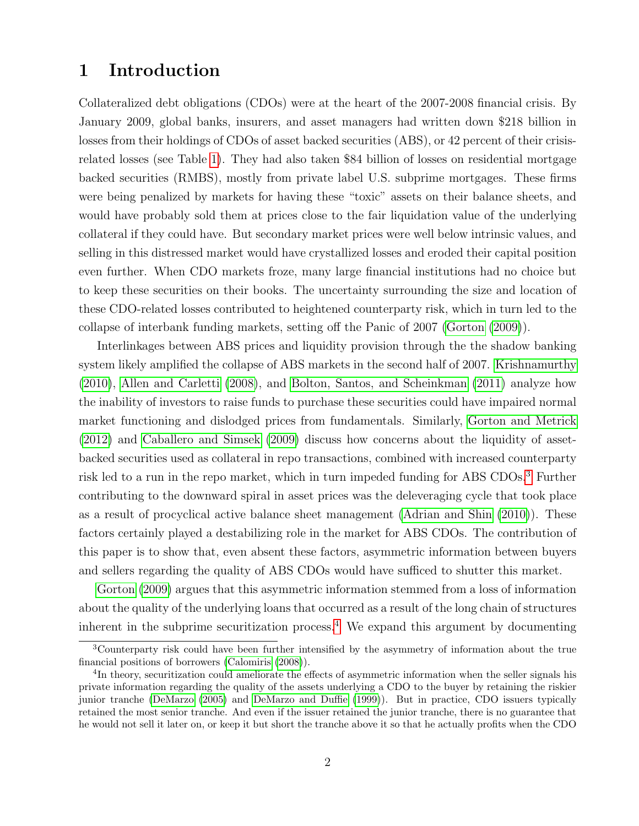## 1 Introduction

Collateralized debt obligations (CDOs) were at the heart of the 2007-2008 financial crisis. By January 2009, global banks, insurers, and asset managers had written down \$218 billion in losses from their holdings of CDOs of asset backed securities (ABS), or 42 percent of their crisisrelated losses (see Table [1\)](#page-22-0). They had also taken \$84 billion of losses on residential mortgage backed securities (RMBS), mostly from private label U.S. subprime mortgages. These firms were being penalized by markets for having these "toxic" assets on their balance sheets, and would have probably sold them at prices close to the fair liquidation value of the underlying collateral if they could have. But secondary market prices were well below intrinsic values, and selling in this distressed market would have crystallized losses and eroded their capital position even further. When CDO markets froze, many large financial institutions had no choice but to keep these securities on their books. The uncertainty surrounding the size and location of these CDO-related losses contributed to heightened counterparty risk, which in turn led to the collapse of interbank funding markets, setting off the Panic of 2007 [\(Gorton](#page-20-0) [\(2009\)](#page-20-0)).

Interlinkages between ABS prices and liquidity provision through the the shadow banking system likely amplified the collapse of ABS markets in the second half of 2007. [Krishnamurthy](#page-21-0) [\(2010\)](#page-21-0), [Allen and Carletti](#page-20-1) [\(2008\)](#page-20-1), and [Bolton, Santos, and Scheinkman](#page-20-2) [\(2011\)](#page-20-2) analyze how the inability of investors to raise funds to purchase these securities could have impaired normal market functioning and dislodged prices from fundamentals. Similarly, [Gorton and Metrick](#page-21-1) [\(2012\)](#page-21-1) and [Caballero and Simsek](#page-20-3) [\(2009\)](#page-20-3) discuss how concerns about the liquidity of assetbacked securities used as collateral in repo transactions, combined with increased counterparty risk led to a run in the repo market, which in turn impeded funding for ABS CDOs.[3](#page-1-0) Further contributing to the downward spiral in asset prices was the deleveraging cycle that took place as a result of procyclical active balance sheet management [\(Adrian and Shin](#page-19-0) [\(2010\)](#page-19-0)). These factors certainly played a destabilizing role in the market for ABS CDOs. The contribution of this paper is to show that, even absent these factors, asymmetric information between buyers and sellers regarding the quality of ABS CDOs would have sufficed to shutter this market.

[Gorton](#page-20-0) [\(2009\)](#page-20-0) argues that this asymmetric information stemmed from a loss of information about the quality of the underlying loans that occurred as a result of the long chain of structures inherent in the subprime securitization process.[4](#page-1-0) We expand this argument by documenting

<sup>3</sup>Counterparty risk could have been further intensified by the asymmetry of information about the true financial positions of borrowers [\(Calomiris](#page-20-4) [\(2008\)](#page-20-4)).

<sup>&</sup>lt;sup>4</sup>In theory, securitization could ameliorate the effects of asymmetric information when the seller signals his private information regarding the quality of the assets underlying a CDO to the buyer by retaining the riskier junior tranche [\(DeMarzo](#page-20-5) [\(2005\)](#page-20-5) and [DeMarzo and Duffie](#page-20-6) [\(1999\)](#page-20-6)). But in practice, CDO issuers typically retained the most senior tranche. And even if the issuer retained the junior tranche, there is no guarantee that he would not sell it later on, or keep it but short the tranche above it so that he actually profits when the CDO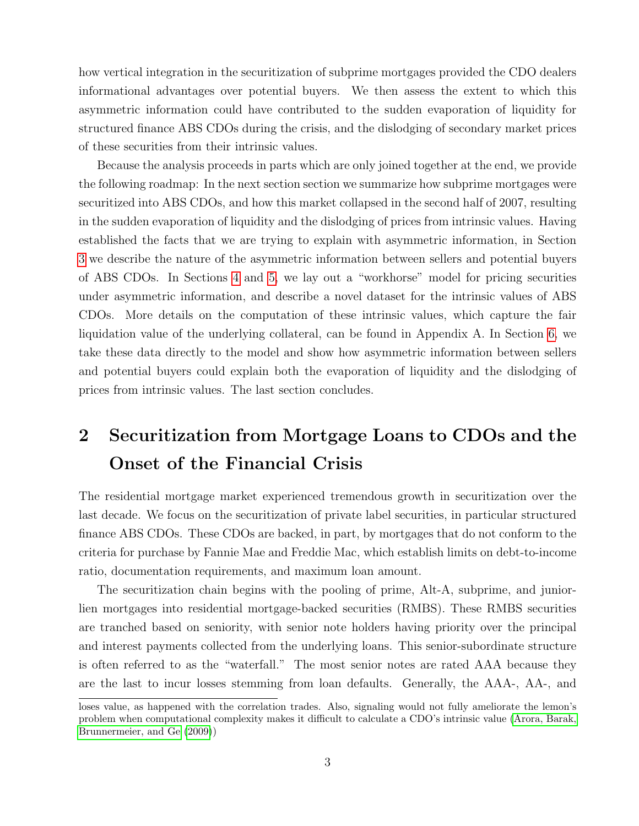how vertical integration in the securitization of subprime mortgages provided the CDO dealers informational advantages over potential buyers. We then assess the extent to which this asymmetric information could have contributed to the sudden evaporation of liquidity for structured finance ABS CDOs during the crisis, and the dislodging of secondary market prices of these securities from their intrinsic values.

Because the analysis proceeds in parts which are only joined together at the end, we provide the following roadmap: In the next section section we summarize how subprime mortgages were securitized into ABS CDOs, and how this market collapsed in the second half of 2007, resulting in the sudden evaporation of liquidity and the dislodging of prices from intrinsic values. Having established the facts that we are trying to explain with asymmetric information, in Section [3](#page-6-0) we describe the nature of the asymmetric information between sellers and potential buyers of ABS CDOs. In Sections [4](#page-8-0) and [5,](#page-13-0) we lay out a "workhorse" model for pricing securities under asymmetric information, and describe a novel dataset for the intrinsic values of ABS CDOs. More details on the computation of these intrinsic values, which capture the fair liquidation value of the underlying collateral, can be found in Appendix A. In Section [6,](#page-14-0) we take these data directly to the model and show how asymmetric information between sellers and potential buyers could explain both the evaporation of liquidity and the dislodging of prices from intrinsic values. The last section concludes.

# 2 Securitization from Mortgage Loans to CDOs and the Onset of the Financial Crisis

The residential mortgage market experienced tremendous growth in securitization over the last decade. We focus on the securitization of private label securities, in particular structured finance ABS CDOs. These CDOs are backed, in part, by mortgages that do not conform to the criteria for purchase by Fannie Mae and Freddie Mac, which establish limits on debt-to-income ratio, documentation requirements, and maximum loan amount.

The securitization chain begins with the pooling of prime, Alt-A, subprime, and juniorlien mortgages into residential mortgage-backed securities (RMBS). These RMBS securities are tranched based on seniority, with senior note holders having priority over the principal and interest payments collected from the underlying loans. This senior-subordinate structure is often referred to as the "waterfall." The most senior notes are rated AAA because they are the last to incur losses stemming from loan defaults. Generally, the AAA-, AA-, and

loses value, as happened with the correlation trades. Also, signaling would not fully ameliorate the lemon's problem when computational complexity makes it difficult to calculate a CDO's intrinsic value [\(Arora, Barak,](#page-20-7) [Brunnermeier, and Ge](#page-20-7) [\(2009\)](#page-20-7))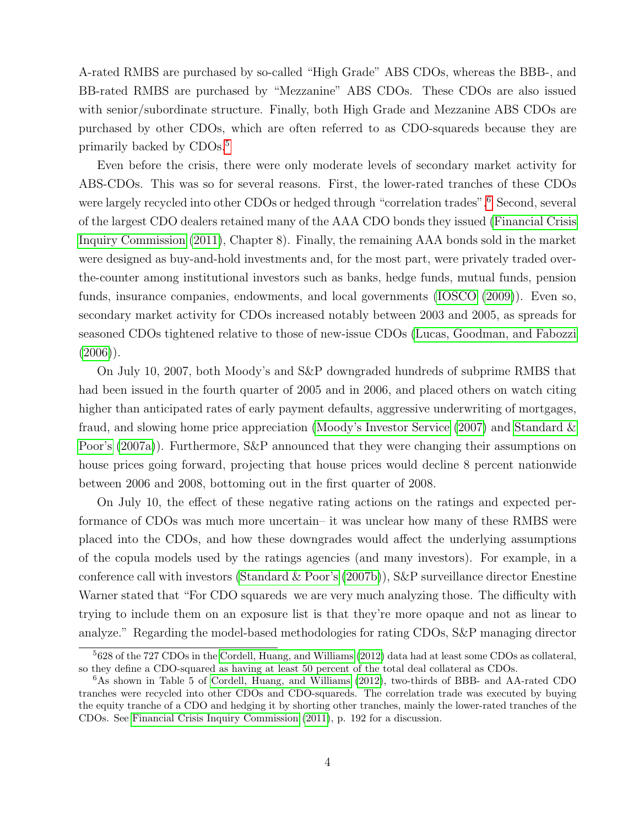A-rated RMBS are purchased by so-called "High Grade" ABS CDOs, whereas the BBB-, and BB-rated RMBS are purchased by "Mezzanine" ABS CDOs. These CDOs are also issued with senior/subordinate structure. Finally, both High Grade and Mezzanine ABS CDOs are purchased by other CDOs, which are often referred to as CDO-squareds because they are primarily backed by CDOs.<sup>[5](#page-1-0)</sup>

Even before the crisis, there were only moderate levels of secondary market activity for ABS-CDOs. This was so for several reasons. First, the lower-rated tranches of these CDOs were largely recycled into other CDOs or hedged through "correlation trades".[6](#page-1-0) Second, several of the largest CDO dealers retained many of the AAA CDO bonds they issued [\(Financial Crisis](#page-20-8) [Inquiry Commission](#page-20-8) [\(2011\)](#page-20-8), Chapter 8). Finally, the remaining AAA bonds sold in the market were designed as buy-and-hold investments and, for the most part, were privately traded overthe-counter among institutional investors such as banks, hedge funds, mutual funds, pension funds, insurance companies, endowments, and local governments [\(IOSCO](#page-21-2) [\(2009\)](#page-21-2)). Even so, secondary market activity for CDOs increased notably between 2003 and 2005, as spreads for seasoned CDOs tightened relative to those of new-issue CDOs [\(Lucas, Goodman, and Fabozzi](#page-21-3)  $(2006)$ ).

On July 10, 2007, both Moody's and S&P downgraded hundreds of subprime RMBS that had been issued in the fourth quarter of 2005 and in 2006, and placed others on watch citing higher than anticipated rates of early payment defaults, aggressive underwriting of mortgages, fraud, and slowing home price appreciation [\(Moody's Investor Service](#page-21-4) [\(2007\)](#page-21-4) and [Standard &](#page-21-5) [Poor's](#page-21-5) [\(2007a\)](#page-21-5)). Furthermore, S&P announced that they were changing their assumptions on house prices going forward, projecting that house prices would decline 8 percent nationwide between 2006 and 2008, bottoming out in the first quarter of 2008.

On July 10, the effect of these negative rating actions on the ratings and expected performance of CDOs was much more uncertain– it was unclear how many of these RMBS were placed into the CDOs, and how these downgrades would affect the underlying assumptions of the copula models used by the ratings agencies (and many investors). For example, in a conference call with investors [\(Standard & Poor's](#page-21-6) [\(2007b\)](#page-21-6)), S&P surveillance director Enestine Warner stated that "For CDO squareds we are very much analyzing those. The difficulty with trying to include them on an exposure list is that they're more opaque and not as linear to analyze." Regarding the model-based methodologies for rating CDOs, S&P managing director

 $5628$  of the 727 CDOs in the [Cordell, Huang, and Williams](#page-20-9) [\(2012\)](#page-20-9) data had at least some CDOs as collateral, so they define a CDO-squared as having at least 50 percent of the total deal collateral as CDOs.

<sup>6</sup>As shown in Table 5 of [Cordell, Huang, and Williams](#page-20-9) [\(2012\)](#page-20-9), two-thirds of BBB- and AA-rated CDO tranches were recycled into other CDOs and CDO-squareds. The correlation trade was executed by buying the equity tranche of a CDO and hedging it by shorting other tranches, mainly the lower-rated tranches of the CDOs. See [Financial Crisis Inquiry Commission](#page-20-8) [\(2011\)](#page-20-8), p. 192 for a discussion.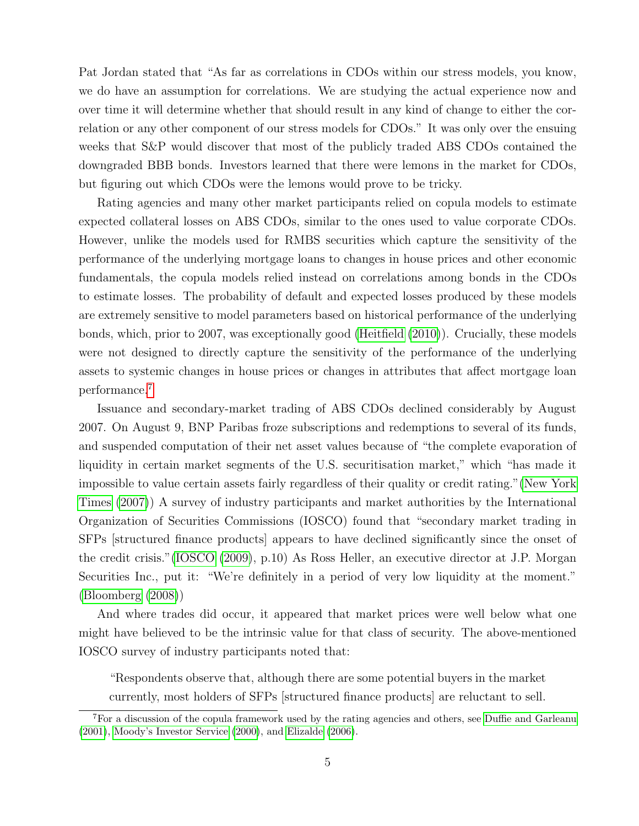Pat Jordan stated that "As far as correlations in CDOs within our stress models, you know, we do have an assumption for correlations. We are studying the actual experience now and over time it will determine whether that should result in any kind of change to either the correlation or any other component of our stress models for CDOs." It was only over the ensuing weeks that S&P would discover that most of the publicly traded ABS CDOs contained the downgraded BBB bonds. Investors learned that there were lemons in the market for CDOs, but figuring out which CDOs were the lemons would prove to be tricky.

Rating agencies and many other market participants relied on copula models to estimate expected collateral losses on ABS CDOs, similar to the ones used to value corporate CDOs. However, unlike the models used for RMBS securities which capture the sensitivity of the performance of the underlying mortgage loans to changes in house prices and other economic fundamentals, the copula models relied instead on correlations among bonds in the CDOs to estimate losses. The probability of default and expected losses produced by these models are extremely sensitive to model parameters based on historical performance of the underlying bonds, which, prior to 2007, was exceptionally good [\(Heitfield](#page-21-7) [\(2010\)](#page-21-7)). Crucially, these models were not designed to directly capture the sensitivity of the performance of the underlying assets to systemic changes in house prices or changes in attributes that affect mortgage loan performance.[7](#page-1-0)

Issuance and secondary-market trading of ABS CDOs declined considerably by August 2007. On August 9, BNP Paribas froze subscriptions and redemptions to several of its funds, and suspended computation of their net asset values because of "the complete evaporation of liquidity in certain market segments of the U.S. securitisation market," which "has made it impossible to value certain assets fairly regardless of their quality or credit rating."[\(New York](#page-21-8) [Times](#page-21-8) [\(2007\)](#page-21-8)) A survey of industry participants and market authorities by the International Organization of Securities Commissions (IOSCO) found that "secondary market trading in SFPs [structured finance products] appears to have declined significantly since the onset of the credit crisis."[\(IOSCO](#page-21-2) [\(2009\)](#page-21-2), p.10) As Ross Heller, an executive director at J.P. Morgan Securities Inc., put it: "We're definitely in a period of very low liquidity at the moment." [\(Bloomberg](#page-20-10) [\(2008\)](#page-20-10))

And where trades did occur, it appeared that market prices were well below what one might have believed to be the intrinsic value for that class of security. The above-mentioned IOSCO survey of industry participants noted that:

"Respondents observe that, although there are some potential buyers in the market currently, most holders of SFPs [structured finance products] are reluctant to sell.

<sup>7</sup>For a discussion of the copula framework used by the rating agencies and others, see [Duffie and Garleanu](#page-20-11) [\(2001\)](#page-20-11), [Moody's Investor Service](#page-21-9) [\(2000\)](#page-21-9), and [Elizalde](#page-20-12) [\(2006\)](#page-20-12).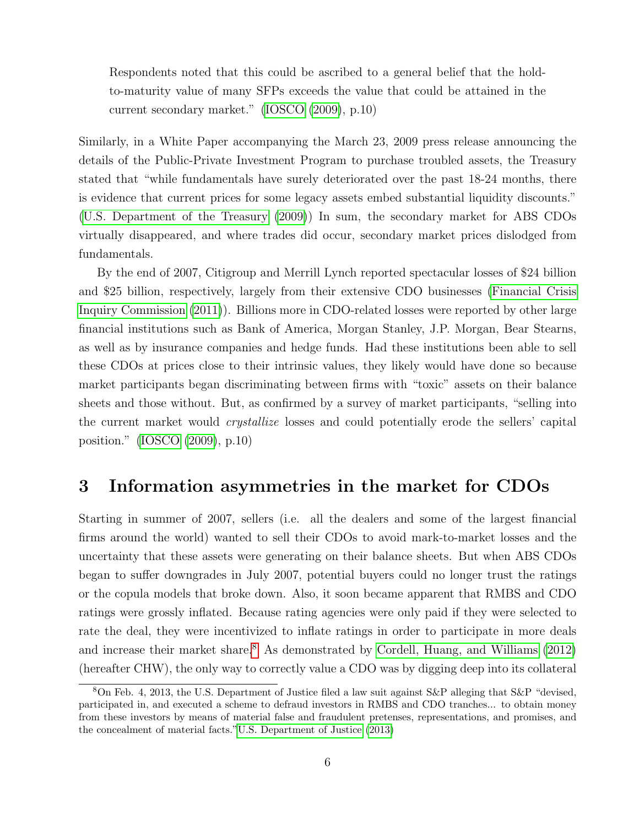Respondents noted that this could be ascribed to a general belief that the holdto-maturity value of many SFPs exceeds the value that could be attained in the current secondary market." [\(IOSCO](#page-21-2) [\(2009\)](#page-21-2), p.10)

Similarly, in a White Paper accompanying the March 23, 2009 press release announcing the details of the Public-Private Investment Program to purchase troubled assets, the Treasury stated that "while fundamentals have surely deteriorated over the past 18-24 months, there is evidence that current prices for some legacy assets embed substantial liquidity discounts." [\(U.S. Department of the Treasury](#page-21-10) [\(2009\)](#page-21-10)) In sum, the secondary market for ABS CDOs virtually disappeared, and where trades did occur, secondary market prices dislodged from fundamentals.

By the end of 2007, Citigroup and Merrill Lynch reported spectacular losses of \$24 billion and \$25 billion, respectively, largely from their extensive CDO businesses [\(Financial Crisis](#page-20-8) [Inquiry Commission](#page-20-8) [\(2011\)](#page-20-8)). Billions more in CDO-related losses were reported by other large financial institutions such as Bank of America, Morgan Stanley, J.P. Morgan, Bear Stearns, as well as by insurance companies and hedge funds. Had these institutions been able to sell these CDOs at prices close to their intrinsic values, they likely would have done so because market participants began discriminating between firms with "toxic" assets on their balance sheets and those without. But, as confirmed by a survey of market participants, "selling into the current market would crystallize losses and could potentially erode the sellers' capital position." [\(IOSCO](#page-21-2) [\(2009\)](#page-21-2), p.10)

### <span id="page-6-0"></span>3 Information asymmetries in the market for CDOs

Starting in summer of 2007, sellers (i.e. all the dealers and some of the largest financial firms around the world) wanted to sell their CDOs to avoid mark-to-market losses and the uncertainty that these assets were generating on their balance sheets. But when ABS CDOs began to suffer downgrades in July 2007, potential buyers could no longer trust the ratings or the copula models that broke down. Also, it soon became apparent that RMBS and CDO ratings were grossly inflated. Because rating agencies were only paid if they were selected to rate the deal, they were incentivized to inflate ratings in order to participate in more deals and increase their market share.<sup>[8](#page-1-0)</sup> As demonstrated by [Cordell, Huang, and Williams](#page-20-9)  $(2012)$ (hereafter CHW), the only way to correctly value a CDO was by digging deep into its collateral

<sup>8</sup>On Feb. 4, 2013, the U.S. Department of Justice filed a law suit against S&P alleging that S&P "devised, participated in, and executed a scheme to defraud investors in RMBS and CDO tranches... to obtain money from these investors by means of material false and fraudulent pretenses, representations, and promises, and the concealment of material facts.["U.S. Department of Justice](#page-21-11) [\(2013\)](#page-21-11)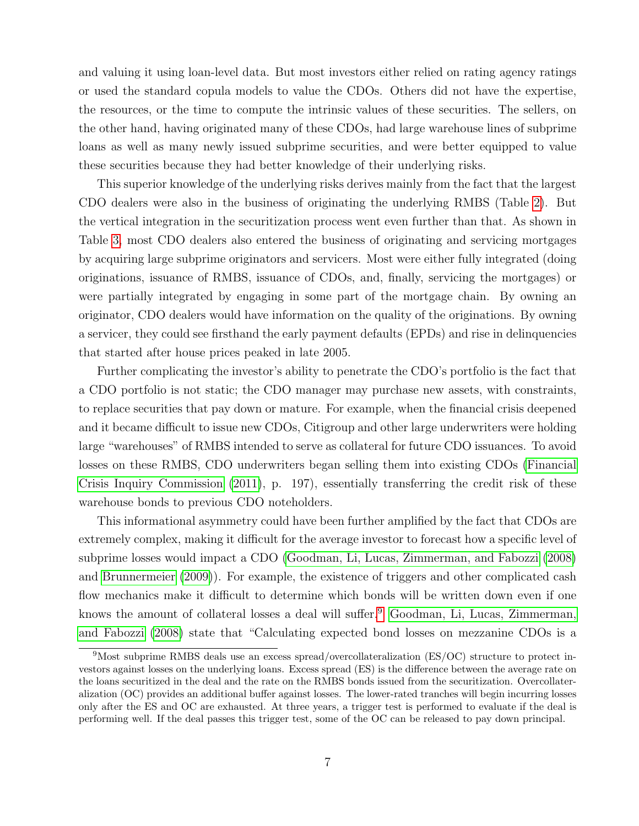and valuing it using loan-level data. But most investors either relied on rating agency ratings or used the standard copula models to value the CDOs. Others did not have the expertise, the resources, or the time to compute the intrinsic values of these securities. The sellers, on the other hand, having originated many of these CDOs, had large warehouse lines of subprime loans as well as many newly issued subprime securities, and were better equipped to value these securities because they had better knowledge of their underlying risks.

This superior knowledge of the underlying risks derives mainly from the fact that the largest CDO dealers were also in the business of originating the underlying RMBS (Table [2\)](#page-23-0). But the vertical integration in the securitization process went even further than that. As shown in Table [3,](#page-24-0) most CDO dealers also entered the business of originating and servicing mortgages by acquiring large subprime originators and servicers. Most were either fully integrated (doing originations, issuance of RMBS, issuance of CDOs, and, finally, servicing the mortgages) or were partially integrated by engaging in some part of the mortgage chain. By owning an originator, CDO dealers would have information on the quality of the originations. By owning a servicer, they could see firsthand the early payment defaults (EPDs) and rise in delinquencies that started after house prices peaked in late 2005.

Further complicating the investor's ability to penetrate the CDO's portfolio is the fact that a CDO portfolio is not static; the CDO manager may purchase new assets, with constraints, to replace securities that pay down or mature. For example, when the financial crisis deepened and it became difficult to issue new CDOs, Citigroup and other large underwriters were holding large "warehouses" of RMBS intended to serve as collateral for future CDO issuances. To avoid losses on these RMBS, CDO underwriters began selling them into existing CDOs [\(Financial](#page-20-8) [Crisis Inquiry Commission](#page-20-8) [\(2011\)](#page-20-8), p. 197), essentially transferring the credit risk of these warehouse bonds to previous CDO noteholders.

This informational asymmetry could have been further amplified by the fact that CDOs are extremely complex, making it difficult for the average investor to forecast how a specific level of subprime losses would impact a CDO [\(Goodman, Li, Lucas, Zimmerman, and Fabozzi](#page-20-13) [\(2008\)](#page-20-13) and [Brunnermeier](#page-20-14) [\(2009\)](#page-20-14)). For example, the existence of triggers and other complicated cash flow mechanics make it difficult to determine which bonds will be written down even if one knows the amount of collateral losses a deal will suffer.<sup>[9](#page-1-0)</sup> [Goodman, Li, Lucas, Zimmerman,](#page-20-13) [and Fabozzi](#page-20-13) [\(2008\)](#page-20-13) state that "Calculating expected bond losses on mezzanine CDOs is a

<sup>9</sup>Most subprime RMBS deals use an excess spread/overcollateralization (ES/OC) structure to protect investors against losses on the underlying loans. Excess spread (ES) is the difference between the average rate on the loans securitized in the deal and the rate on the RMBS bonds issued from the securitization. Overcollateralization (OC) provides an additional buffer against losses. The lower-rated tranches will begin incurring losses only after the ES and OC are exhausted. At three years, a trigger test is performed to evaluate if the deal is performing well. If the deal passes this trigger test, some of the OC can be released to pay down principal.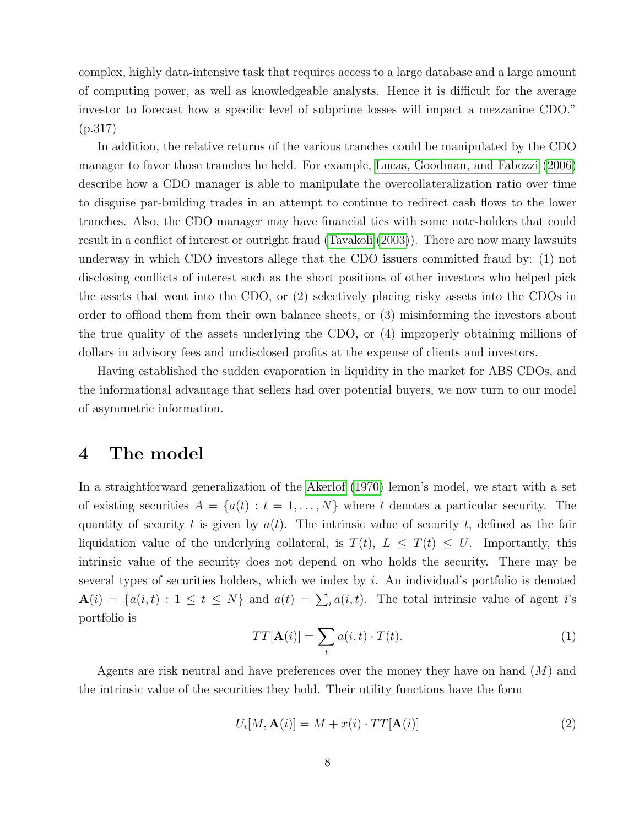complex, highly data-intensive task that requires access to a large database and a large amount of computing power, as well as knowledgeable analysts. Hence it is difficult for the average investor to forecast how a specific level of subprime losses will impact a mezzanine CDO." (p.317)

In addition, the relative returns of the various tranches could be manipulated by the CDO manager to favor those tranches he held. For example, [Lucas, Goodman, and Fabozzi](#page-21-3) [\(2006\)](#page-21-3) describe how a CDO manager is able to manipulate the overcollateralization ratio over time to disguise par-building trades in an attempt to continue to redirect cash flows to the lower tranches. Also, the CDO manager may have financial ties with some note-holders that could result in a conflict of interest or outright fraud [\(Tavakoli](#page-21-12) [\(2003\)](#page-21-12)). There are now many lawsuits underway in which CDO investors allege that the CDO issuers committed fraud by: (1) not disclosing conflicts of interest such as the short positions of other investors who helped pick the assets that went into the CDO, or (2) selectively placing risky assets into the CDOs in order to offload them from their own balance sheets, or (3) misinforming the investors about the true quality of the assets underlying the CDO, or (4) improperly obtaining millions of dollars in advisory fees and undisclosed profits at the expense of clients and investors.

Having established the sudden evaporation in liquidity in the market for ABS CDOs, and the informational advantage that sellers had over potential buyers, we now turn to our model of asymmetric information.

#### <span id="page-8-0"></span>4 The model

In a straightforward generalization of the [Akerlof](#page-19-1) [\(1970\)](#page-19-1) lemon's model, we start with a set of existing securities  $A = \{a(t) : t = 1, ..., N\}$  where t denotes a particular security. The quantity of security t is given by  $a(t)$ . The intrinsic value of security t, defined as the fair liquidation value of the underlying collateral, is  $T(t)$ ,  $L \leq T(t) \leq U$ . Importantly, this intrinsic value of the security does not depend on who holds the security. There may be several types of securities holders, which we index by  $i$ . An individual's portfolio is denoted  $\mathbf{A}(i) = \{a(i, t) : 1 \le t \le N\}$  and  $a(t) = \sum_i a(i, t)$ . The total intrinsic value of agent *i*'s portfolio is

$$
TT[\mathbf{A}(i)] = \sum_{t} a(i, t) \cdot T(t). \tag{1}
$$

Agents are risk neutral and have preferences over the money they have on hand (M) and the intrinsic value of the securities they hold. Their utility functions have the form

$$
U_i[M, \mathbf{A}(i)] = M + x(i) \cdot TT[\mathbf{A}(i)] \tag{2}
$$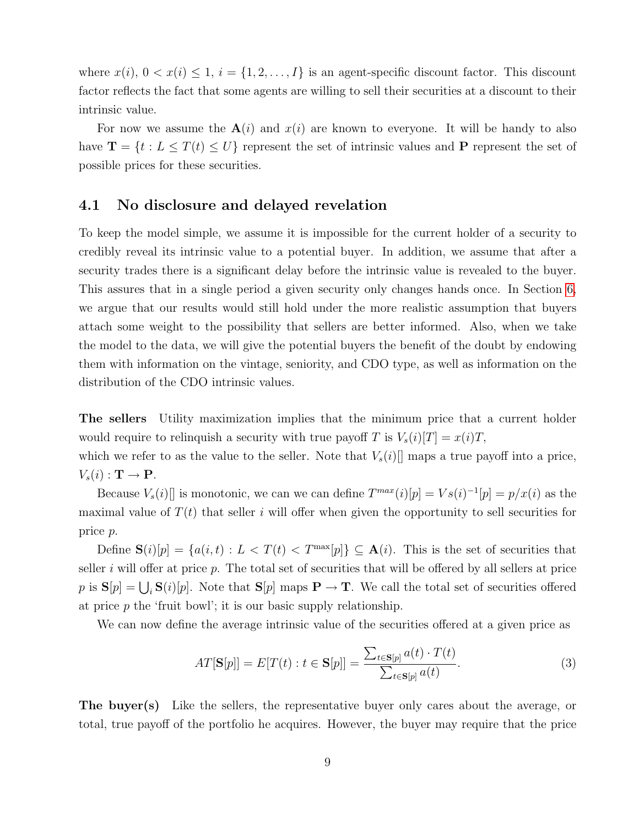where  $x(i)$ ,  $0 < x(i) \leq 1$ ,  $i = \{1, 2, ..., I\}$  is an agent-specific discount factor. This discount factor reflects the fact that some agents are willing to sell their securities at a discount to their intrinsic value.

For now we assume the  $\mathbf{A}(i)$  and  $x(i)$  are known to everyone. It will be handy to also have  $\mathbf{T} = \{t : L \leq T(t) \leq U\}$  represent the set of intrinsic values and P represent the set of possible prices for these securities.

#### 4.1 No disclosure and delayed revelation

To keep the model simple, we assume it is impossible for the current holder of a security to credibly reveal its intrinsic value to a potential buyer. In addition, we assume that after a security trades there is a significant delay before the intrinsic value is revealed to the buyer. This assures that in a single period a given security only changes hands once. In Section [6,](#page-14-0) we argue that our results would still hold under the more realistic assumption that buyers attach some weight to the possibility that sellers are better informed. Also, when we take the model to the data, we will give the potential buyers the benefit of the doubt by endowing them with information on the vintage, seniority, and CDO type, as well as information on the distribution of the CDO intrinsic values.

The sellers Utility maximization implies that the minimum price that a current holder would require to relinquish a security with true payoff T is  $V_s(i)[T] = x(i)T$ ,

which we refer to as the value to the seller. Note that  $V_s(i)$  maps a true payoff into a price,  $V_s(i) : \mathbf{T} \to \mathbf{P}.$ 

Because  $V_s(i)$  is monotonic, we can we can define  $T^{max}(i)[p] = V_s(i)^{-1}[p] = p/x(i)$  as the maximal value of  $T(t)$  that seller i will offer when given the opportunity to sell securities for price p.

Define  $\mathbf{S}(i)[p] = \{a(i, t) : L < T(t) < T^{\max}[p]\} \subseteq \mathbf{A}(i)$ . This is the set of securities that seller i will offer at price p. The total set of securities that will be offered by all sellers at price p is  $S[p] = \bigcup_i S(i)[p]$ . Note that  $S[p]$  maps  $P \to T$ . We call the total set of securities offered at price  $p$  the 'fruit bowl'; it is our basic supply relationship.

We can now define the average intrinsic value of the securities offered at a given price as

$$
AT[\mathbf{S}[p]] = E[T(t) : t \in \mathbf{S}[p]] = \frac{\sum_{t \in \mathbf{S}[p]} a(t) \cdot T(t)}{\sum_{t \in \mathbf{S}[p]} a(t)}.\tag{3}
$$

**The buyer(s)** Like the sellers, the representative buyer only cares about the average, or total, true payoff of the portfolio he acquires. However, the buyer may require that the price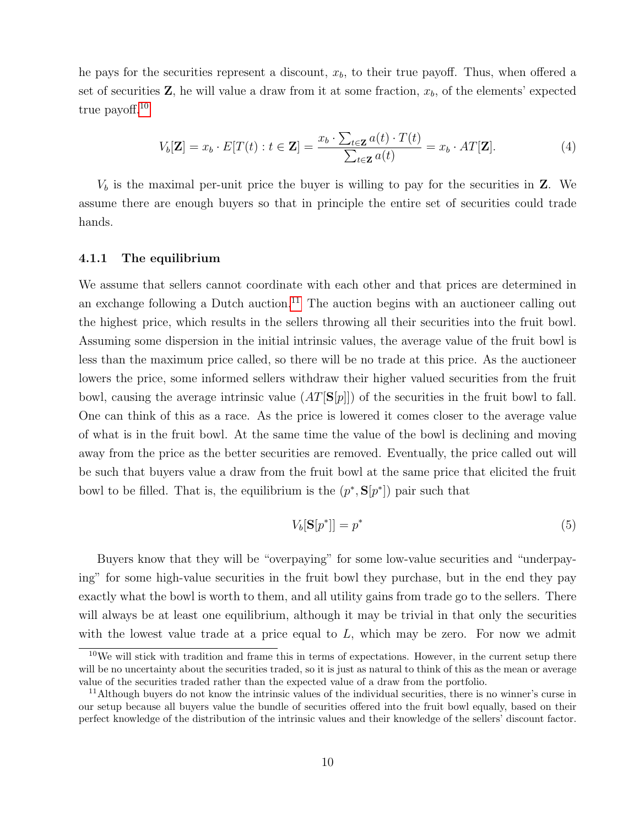he pays for the securities represent a discount,  $x<sub>b</sub>$ , to their true payoff. Thus, when offered a set of securities  $Z$ , he will value a draw from it at some fraction,  $x_b$ , of the elements' expected true payoff.<sup>[10](#page-1-0)</sup>

<span id="page-10-0"></span>
$$
V_b[\mathbf{Z}] = x_b \cdot E[T(t) : t \in \mathbf{Z}] = \frac{x_b \cdot \sum_{t \in \mathbf{Z}} a(t) \cdot T(t)}{\sum_{t \in \mathbf{Z}} a(t)} = x_b \cdot AT[\mathbf{Z}]. \tag{4}
$$

 $V<sub>b</sub>$  is the maximal per-unit price the buyer is willing to pay for the securities in **Z**. We assume there are enough buyers so that in principle the entire set of securities could trade hands.

#### 4.1.1 The equilibrium

We assume that sellers cannot coordinate with each other and that prices are determined in an exchange following a Dutch auction.<sup>[11](#page-1-0)</sup> The auction begins with an auctioneer calling out the highest price, which results in the sellers throwing all their securities into the fruit bowl. Assuming some dispersion in the initial intrinsic values, the average value of the fruit bowl is less than the maximum price called, so there will be no trade at this price. As the auctioneer lowers the price, some informed sellers withdraw their higher valued securities from the fruit bowl, causing the average intrinsic value  $(AT[\mathbf{S}[p]])$  of the securities in the fruit bowl to fall. One can think of this as a race. As the price is lowered it comes closer to the average value of what is in the fruit bowl. At the same time the value of the bowl is declining and moving away from the price as the better securities are removed. Eventually, the price called out will be such that buyers value a draw from the fruit bowl at the same price that elicited the fruit bowl to be filled. That is, the equilibrium is the  $(p^*, S[p^*])$  pair such that

<span id="page-10-1"></span>
$$
V_b[\mathbf{S}[p^*]] = p^* \tag{5}
$$

Buyers know that they will be "overpaying" for some low-value securities and "underpaying" for some high-value securities in the fruit bowl they purchase, but in the end they pay exactly what the bowl is worth to them, and all utility gains from trade go to the sellers. There will always be at least one equilibrium, although it may be trivial in that only the securities with the lowest value trade at a price equal to  $L$ , which may be zero. For now we admit

 $10$ We will stick with tradition and frame this in terms of expectations. However, in the current setup there will be no uncertainty about the securities traded, so it is just as natural to think of this as the mean or average value of the securities traded rather than the expected value of a draw from the portfolio.

<sup>&</sup>lt;sup>11</sup>Although buyers do not know the intrinsic values of the individual securities, there is no winner's curse in our setup because all buyers value the bundle of securities offered into the fruit bowl equally, based on their perfect knowledge of the distribution of the intrinsic values and their knowledge of the sellers' discount factor.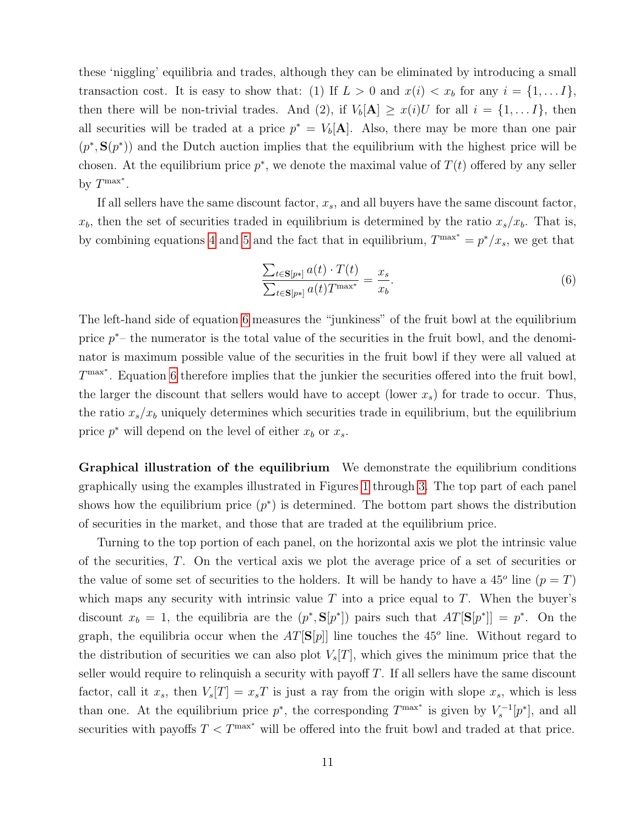these 'niggling' equilibria and trades, although they can be eliminated by introducing a small transaction cost. It is easy to show that: (1) If  $L > 0$  and  $x(i) < x_b$  for any  $i = \{1, \ldots I\}$ , then there will be non-trivial trades. And (2), if  $V_b[A] \geq x(i)U$  for all  $i = \{1, \ldots I\}$ , then all securities will be traded at a price  $p^* = V_b[A]$ . Also, there may be more than one pair  $(p^*, \mathbf{S}(p^*))$  and the Dutch auction implies that the equilibrium with the highest price will be chosen. At the equilibrium price  $p^*$ , we denote the maximal value of  $T(t)$  offered by any seller by  $T^{\max^*}$ .

If all sellers have the same discount factor,  $x_s$ , and all buyers have the same discount factor,  $x_b$ , then the set of securities traded in equilibrium is determined by the ratio  $x_s/x_b$ . That is, by combining equations [4](#page-10-0) and [5](#page-10-1) and the fact that in equilibrium,  $T^{\max^*} = p^*/x_s$ , we get that

<span id="page-11-0"></span>
$$
\frac{\sum_{t \in \mathbf{S}[p*]} a(t) \cdot T(t)}{\sum_{t \in \mathbf{S}[p*]} a(t) T^{\max^*}} = \frac{x_s}{x_b}.\tag{6}
$$

The left-hand side of equation [6](#page-11-0) measures the "junkiness" of the fruit bowl at the equilibrium price  $p^*$ – the numerator is the total value of the securities in the fruit bowl, and the denominator is maximum possible value of the securities in the fruit bowl if they were all valued at  $T^{\max^*}$ . Equation [6](#page-11-0) therefore implies that the junkier the securities offered into the fruit bowl, the larger the discount that sellers would have to accept (lower  $x<sub>s</sub>$ ) for trade to occur. Thus, the ratio  $x_s/x_b$  uniquely determines which securities trade in equilibrium, but the equilibrium price  $p^*$  will depend on the level of either  $x_b$  or  $x_s$ .

Graphical illustration of the equilibrium We demonstrate the equilibrium conditions graphically using the examples illustrated in Figures [1](#page-27-0) through [3.](#page-28-0) The top part of each panel shows how the equilibrium price  $(p^*)$  is determined. The bottom part shows the distribution of securities in the market, and those that are traded at the equilibrium price.

Turning to the top portion of each panel, on the horizontal axis we plot the intrinsic value of the securities, T. On the vertical axis we plot the average price of a set of securities or the value of some set of securities to the holders. It will be handy to have a 45<sup>o</sup> line  $(p = T)$ which maps any security with intrinsic value T into a price equal to T. When the buyer's discount  $x_b = 1$ , the equilibria are the  $(p^*, S[p^*])$  pairs such that  $AT[S[p^*]] = p^*$ . On the graph, the equilibria occur when the  $AT[\mathbf{S}[p]]$  line touches the 45<sup>o</sup> line. Without regard to the distribution of securities we can also plot  $V_s[T]$ , which gives the minimum price that the seller would require to relinquish a security with payoff  $T$ . If all sellers have the same discount factor, call it  $x_s$ , then  $V_s[T] = x_sT$  is just a ray from the origin with slope  $x_s$ , which is less than one. At the equilibrium price  $p^*$ , the corresponding  $T^{\max^*}$  is given by  $V_s^{-1}[p^*]$ , and all securities with payoffs  $T < T<sup>max<sup>*</sup></sup>$  will be offered into the fruit bowl and traded at that price.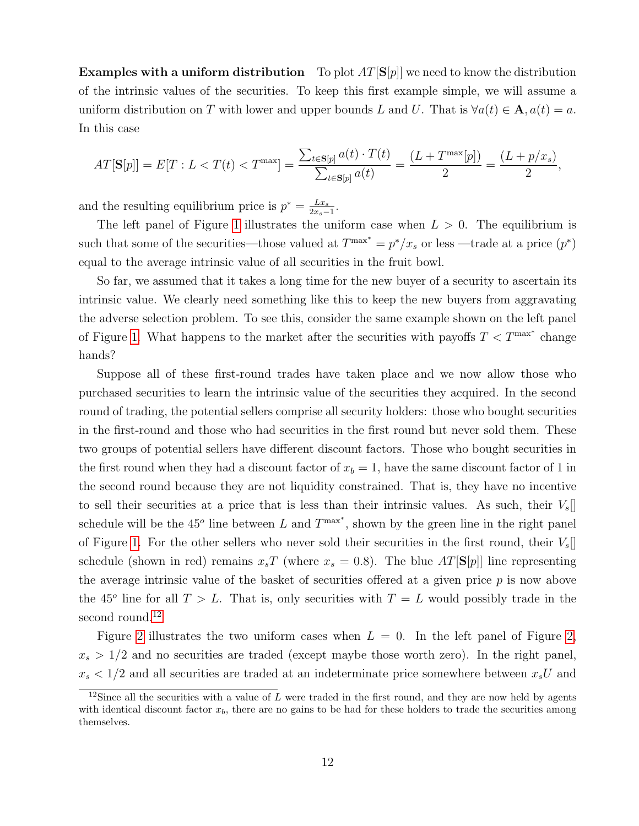**Examples with a uniform distribution** To plot  $AT[S[p]]$  we need to know the distribution of the intrinsic values of the securities. To keep this first example simple, we will assume a uniform distribution on T with lower and upper bounds L and U. That is  $\forall a(t) \in \mathbf{A}, a(t) = a$ . In this case

$$
AT[\mathbf{S}[p]] = E[T : L < T(t) < T^{\max}] = \frac{\sum_{t \in \mathbf{S}[p]} a(t) \cdot T(t)}{\sum_{t \in \mathbf{S}[p]} a(t)} = \frac{(L + T^{\max}[p])}{2} = \frac{(L + p/x_s)}{2},
$$

and the resulting equilibrium price is  $p^* = \frac{Lx_s}{2x_s}$  $\frac{Lx_s}{2x_s-1}$ .

The left panel of Figure [1](#page-27-0) illustrates the uniform case when  $L > 0$ . The equilibrium is such that some of the securities—those valued at  $T^{\max^*} = p^*/x_s$  or less —trade at a price  $(p^*)$ equal to the average intrinsic value of all securities in the fruit bowl.

So far, we assumed that it takes a long time for the new buyer of a security to ascertain its intrinsic value. We clearly need something like this to keep the new buyers from aggravating the adverse selection problem. To see this, consider the same example shown on the left panel of Figure [1.](#page-27-0) What happens to the market after the securities with payoffs  $T < T<sup>max*</sup>$  change hands?

Suppose all of these first-round trades have taken place and we now allow those who purchased securities to learn the intrinsic value of the securities they acquired. In the second round of trading, the potential sellers comprise all security holders: those who bought securities in the first-round and those who had securities in the first round but never sold them. These two groups of potential sellers have different discount factors. Those who bought securities in the first round when they had a discount factor of  $x_b = 1$ , have the same discount factor of 1 in the second round because they are not liquidity constrained. That is, they have no incentive to sell their securities at a price that is less than their intrinsic values. As such, their  $V_s$ schedule will be the 45<sup>o</sup> line between L and  $T^{\max^*}$ , shown by the green line in the right panel of Figure [1.](#page-27-0) For the other sellers who never sold their securities in the first round, their  $V_s$ schedule (shown in red) remains  $x_sT$  (where  $x_s = 0.8$ ). The blue  $AT[\mathbf{S}[p]]$  line representing the average intrinsic value of the basket of securities offered at a given price  $p$  is now above the 45<sup>o</sup> line for all  $T > L$ . That is, only securities with  $T = L$  would possibly trade in the second round.<sup>[12](#page-1-0)</sup>

Figure [2](#page-28-1) illustrates the two uniform cases when  $L = 0$ . In the left panel of Figure [2,](#page-28-1)  $x_s > 1/2$  and no securities are traded (except maybe those worth zero). In the right panel,  $x_s < 1/2$  and all securities are traded at an indeterminate price somewhere between  $x_sU$  and

<sup>&</sup>lt;sup>12</sup>Since all the securities with a value of  $L$  were traded in the first round, and they are now held by agents with identical discount factor  $x<sub>b</sub>$ , there are no gains to be had for these holders to trade the securities among themselves.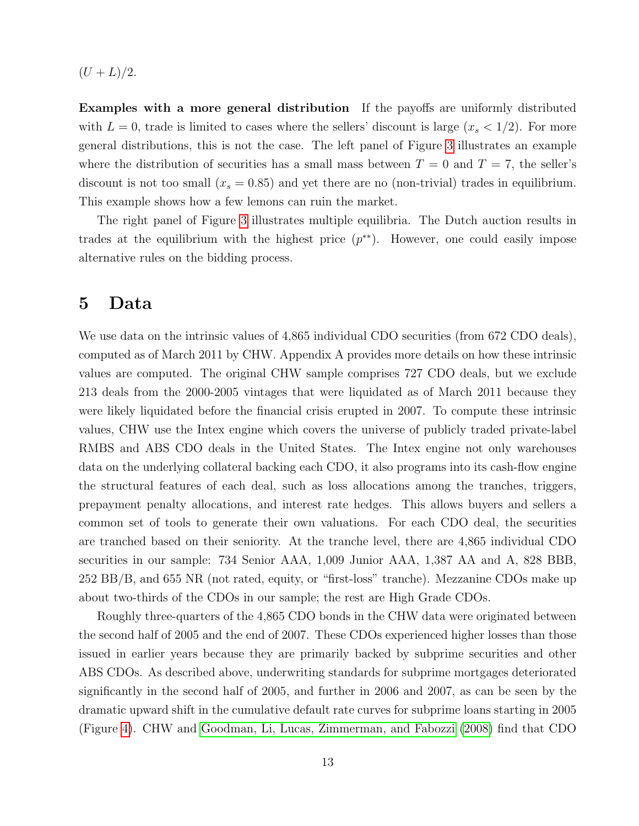$(U + L)/2$ .

Examples with a more general distribution If the payoffs are uniformly distributed with  $L = 0$ , trade is limited to cases where the sellers' discount is large  $(x_s < 1/2)$ . For more general distributions, this is not the case. The left panel of Figure [3](#page-28-0) illustrates an example where the distribution of securities has a small mass between  $T = 0$  and  $T = 7$ , the seller's discount is not too small  $(x_s = 0.85)$  and yet there are no (non-trivial) trades in equilibrium. This example shows how a few lemons can ruin the market.

The right panel of Figure [3](#page-28-0) illustrates multiple equilibria. The Dutch auction results in trades at the equilibrium with the highest price  $(p^{**})$ . However, one could easily impose alternative rules on the bidding process.

#### <span id="page-13-0"></span>5 Data

We use data on the intrinsic values of 4,865 individual CDO securities (from 672 CDO deals), computed as of March 2011 by CHW. Appendix A provides more details on how these intrinsic values are computed. The original CHW sample comprises 727 CDO deals, but we exclude 213 deals from the 2000-2005 vintages that were liquidated as of March 2011 because they were likely liquidated before the financial crisis erupted in 2007. To compute these intrinsic values, CHW use the Intex engine which covers the universe of publicly traded private-label RMBS and ABS CDO deals in the United States. The Intex engine not only warehouses data on the underlying collateral backing each CDO, it also programs into its cash-flow engine the structural features of each deal, such as loss allocations among the tranches, triggers, prepayment penalty allocations, and interest rate hedges. This allows buyers and sellers a common set of tools to generate their own valuations. For each CDO deal, the securities are tranched based on their seniority. At the tranche level, there are 4,865 individual CDO securities in our sample: 734 Senior AAA, 1,009 Junior AAA, 1,387 AA and A, 828 BBB, 252 BB/B, and 655 NR (not rated, equity, or "first-loss" tranche). Mezzanine CDOs make up about two-thirds of the CDOs in our sample; the rest are High Grade CDOs.

Roughly three-quarters of the 4,865 CDO bonds in the CHW data were originated between the second half of 2005 and the end of 2007. These CDOs experienced higher losses than those issued in earlier years because they are primarily backed by subprime securities and other ABS CDOs. As described above, underwriting standards for subprime mortgages deteriorated significantly in the second half of 2005, and further in 2006 and 2007, as can be seen by the dramatic upward shift in the cumulative default rate curves for subprime loans starting in 2005 (Figure [4\)](#page-29-0). CHW and [Goodman, Li, Lucas, Zimmerman, and Fabozzi](#page-20-13) [\(2008\)](#page-20-13) find that CDO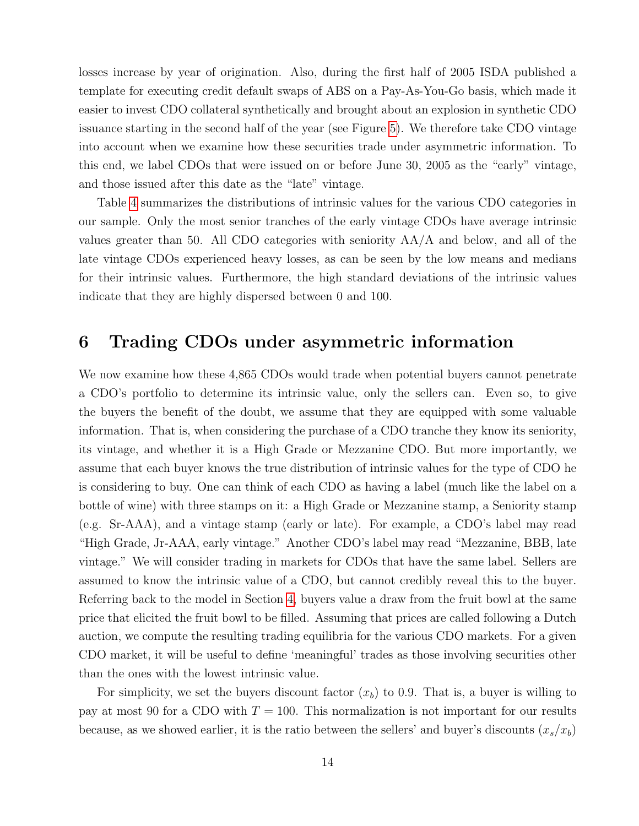losses increase by year of origination. Also, during the first half of 2005 ISDA published a template for executing credit default swaps of ABS on a Pay-As-You-Go basis, which made it easier to invest CDO collateral synthetically and brought about an explosion in synthetic CDO issuance starting in the second half of the year (see Figure [5\)](#page-29-1). We therefore take CDO vintage into account when we examine how these securities trade under asymmetric information. To this end, we label CDOs that were issued on or before June 30, 2005 as the "early" vintage, and those issued after this date as the "late" vintage.

Table [4](#page-25-0) summarizes the distributions of intrinsic values for the various CDO categories in our sample. Only the most senior tranches of the early vintage CDOs have average intrinsic values greater than 50. All CDO categories with seniority AA/A and below, and all of the late vintage CDOs experienced heavy losses, as can be seen by the low means and medians for their intrinsic values. Furthermore, the high standard deviations of the intrinsic values indicate that they are highly dispersed between 0 and 100.

## <span id="page-14-0"></span>6 Trading CDOs under asymmetric information

We now examine how these 4,865 CDOs would trade when potential buyers cannot penetrate a CDO's portfolio to determine its intrinsic value, only the sellers can. Even so, to give the buyers the benefit of the doubt, we assume that they are equipped with some valuable information. That is, when considering the purchase of a CDO tranche they know its seniority, its vintage, and whether it is a High Grade or Mezzanine CDO. But more importantly, we assume that each buyer knows the true distribution of intrinsic values for the type of CDO he is considering to buy. One can think of each CDO as having a label (much like the label on a bottle of wine) with three stamps on it: a High Grade or Mezzanine stamp, a Seniority stamp (e.g. Sr-AAA), and a vintage stamp (early or late). For example, a CDO's label may read "High Grade, Jr-AAA, early vintage." Another CDO's label may read "Mezzanine, BBB, late vintage." We will consider trading in markets for CDOs that have the same label. Sellers are assumed to know the intrinsic value of a CDO, but cannot credibly reveal this to the buyer. Referring back to the model in Section [4,](#page-8-0) buyers value a draw from the fruit bowl at the same price that elicited the fruit bowl to be filled. Assuming that prices are called following a Dutch auction, we compute the resulting trading equilibria for the various CDO markets. For a given CDO market, it will be useful to define 'meaningful' trades as those involving securities other than the ones with the lowest intrinsic value.

For simplicity, we set the buyers discount factor  $(x_b)$  to 0.9. That is, a buyer is willing to pay at most 90 for a CDO with  $T = 100$ . This normalization is not important for our results because, as we showed earlier, it is the ratio between the sellers' and buyer's discounts  $(x_s/x_b)$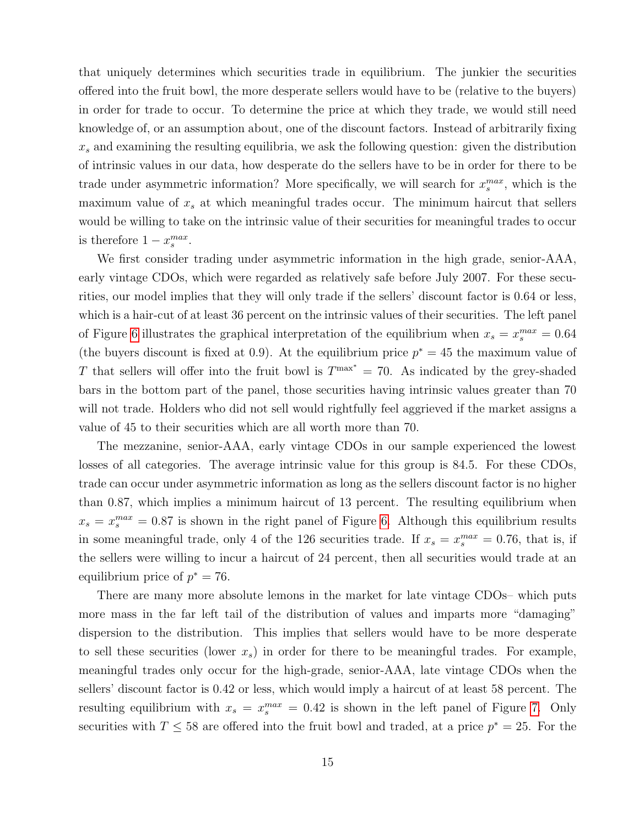that uniquely determines which securities trade in equilibrium. The junkier the securities offered into the fruit bowl, the more desperate sellers would have to be (relative to the buyers) in order for trade to occur. To determine the price at which they trade, we would still need knowledge of, or an assumption about, one of the discount factors. Instead of arbitrarily fixing  $x_s$  and examining the resulting equilibria, we ask the following question: given the distribution of intrinsic values in our data, how desperate do the sellers have to be in order for there to be trade under asymmetric information? More specifically, we will search for  $x_s^{max}$ , which is the maximum value of  $x<sub>s</sub>$  at which meaningful trades occur. The minimum haircut that sellers would be willing to take on the intrinsic value of their securities for meaningful trades to occur is therefore  $1 - x_s^{max}$ .

We first consider trading under asymmetric information in the high grade, senior-AAA, early vintage CDOs, which were regarded as relatively safe before July 2007. For these securities, our model implies that they will only trade if the sellers' discount factor is 0.64 or less, which is a hair-cut of at least 36 percent on the intrinsic values of their securities. The left panel of Figure [6](#page-30-0) illustrates the graphical interpretation of the equilibrium when  $x_s = x_s^{max} = 0.64$ (the buyers discount is fixed at 0.9). At the equilibrium price  $p^* = 45$  the maximum value of T that sellers will offer into the fruit bowl is  $T^{\max^*} = 70$ . As indicated by the grey-shaded bars in the bottom part of the panel, those securities having intrinsic values greater than 70 will not trade. Holders who did not sell would rightfully feel aggrieved if the market assigns a value of 45 to their securities which are all worth more than 70.

The mezzanine, senior-AAA, early vintage CDOs in our sample experienced the lowest losses of all categories. The average intrinsic value for this group is 84.5. For these CDOs, trade can occur under asymmetric information as long as the sellers discount factor is no higher than 0.87, which implies a minimum haircut of 13 percent. The resulting equilibrium when  $x_s = x_s^{max} = 0.87$  is shown in the right panel of Figure [6.](#page-30-0) Although this equilibrium results in some meaningful trade, only 4 of the 126 securities trade. If  $x_s = x_s^{max} = 0.76$ , that is, if the sellers were willing to incur a haircut of 24 percent, then all securities would trade at an equilibrium price of  $p^* = 76$ .

There are many more absolute lemons in the market for late vintage CDOs– which puts more mass in the far left tail of the distribution of values and imparts more "damaging" dispersion to the distribution. This implies that sellers would have to be more desperate to sell these securities (lower  $x_s$ ) in order for there to be meaningful trades. For example, meaningful trades only occur for the high-grade, senior-AAA, late vintage CDOs when the sellers' discount factor is 0.42 or less, which would imply a haircut of at least 58 percent. The resulting equilibrium with  $x_s = x_s^{max} = 0.42$  is shown in the left panel of Figure [7.](#page-30-1) Only securities with  $T \leq 58$  are offered into the fruit bowl and traded, at a price  $p^* = 25$ . For the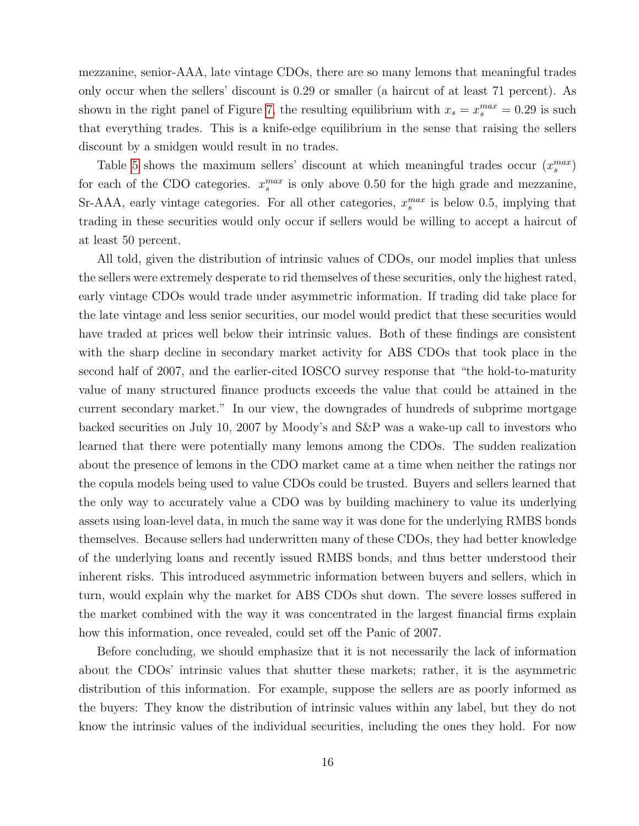mezzanine, senior-AAA, late vintage CDOs, there are so many lemons that meaningful trades only occur when the sellers' discount is 0.29 or smaller (a haircut of at least 71 percent). As shown in the right panel of Figure [7,](#page-30-1) the resulting equilibrium with  $x_s = x_s^{max} = 0.29$  is such that everything trades. This is a knife-edge equilibrium in the sense that raising the sellers discount by a smidgen would result in no trades.

Table [5](#page-26-0) shows the maximum sellers' discount at which meaningful trades occur  $(x_s^{max})$ for each of the CDO categories.  $x_s^{max}$  is only above 0.50 for the high grade and mezzanine, Sr-AAA, early vintage categories. For all other categories,  $x_s^{max}$  is below 0.5, implying that trading in these securities would only occur if sellers would be willing to accept a haircut of at least 50 percent.

All told, given the distribution of intrinsic values of CDOs, our model implies that unless the sellers were extremely desperate to rid themselves of these securities, only the highest rated, early vintage CDOs would trade under asymmetric information. If trading did take place for the late vintage and less senior securities, our model would predict that these securities would have traded at prices well below their intrinsic values. Both of these findings are consistent with the sharp decline in secondary market activity for ABS CDOs that took place in the second half of 2007, and the earlier-cited IOSCO survey response that "the hold-to-maturity value of many structured finance products exceeds the value that could be attained in the current secondary market." In our view, the downgrades of hundreds of subprime mortgage backed securities on July 10, 2007 by Moody's and S&P was a wake-up call to investors who learned that there were potentially many lemons among the CDOs. The sudden realization about the presence of lemons in the CDO market came at a time when neither the ratings nor the copula models being used to value CDOs could be trusted. Buyers and sellers learned that the only way to accurately value a CDO was by building machinery to value its underlying assets using loan-level data, in much the same way it was done for the underlying RMBS bonds themselves. Because sellers had underwritten many of these CDOs, they had better knowledge of the underlying loans and recently issued RMBS bonds, and thus better understood their inherent risks. This introduced asymmetric information between buyers and sellers, which in turn, would explain why the market for ABS CDOs shut down. The severe losses suffered in the market combined with the way it was concentrated in the largest financial firms explain how this information, once revealed, could set off the Panic of 2007.

Before concluding, we should emphasize that it is not necessarily the lack of information about the CDOs' intrinsic values that shutter these markets; rather, it is the asymmetric distribution of this information. For example, suppose the sellers are as poorly informed as the buyers: They know the distribution of intrinsic values within any label, but they do not know the intrinsic values of the individual securities, including the ones they hold. For now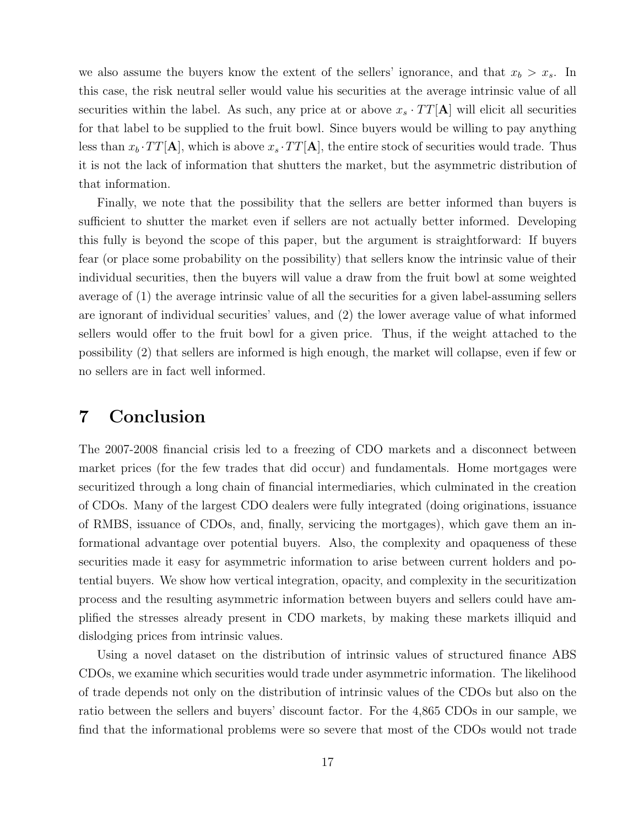we also assume the buyers know the extent of the sellers' ignorance, and that  $x_b > x_s$ . In this case, the risk neutral seller would value his securities at the average intrinsic value of all securities within the label. As such, any price at or above  $x_s \cdot TT[A]$  will elicit all securities for that label to be supplied to the fruit bowl. Since buyers would be willing to pay anything less than  $x_b \cdot TT[A]$ , which is above  $x_s \cdot TT[A]$ , the entire stock of securities would trade. Thus it is not the lack of information that shutters the market, but the asymmetric distribution of that information.

Finally, we note that the possibility that the sellers are better informed than buyers is sufficient to shutter the market even if sellers are not actually better informed. Developing this fully is beyond the scope of this paper, but the argument is straightforward: If buyers fear (or place some probability on the possibility) that sellers know the intrinsic value of their individual securities, then the buyers will value a draw from the fruit bowl at some weighted average of (1) the average intrinsic value of all the securities for a given label-assuming sellers are ignorant of individual securities' values, and (2) the lower average value of what informed sellers would offer to the fruit bowl for a given price. Thus, if the weight attached to the possibility (2) that sellers are informed is high enough, the market will collapse, even if few or no sellers are in fact well informed.

### 7 Conclusion

The 2007-2008 financial crisis led to a freezing of CDO markets and a disconnect between market prices (for the few trades that did occur) and fundamentals. Home mortgages were securitized through a long chain of financial intermediaries, which culminated in the creation of CDOs. Many of the largest CDO dealers were fully integrated (doing originations, issuance of RMBS, issuance of CDOs, and, finally, servicing the mortgages), which gave them an informational advantage over potential buyers. Also, the complexity and opaqueness of these securities made it easy for asymmetric information to arise between current holders and potential buyers. We show how vertical integration, opacity, and complexity in the securitization process and the resulting asymmetric information between buyers and sellers could have amplified the stresses already present in CDO markets, by making these markets illiquid and dislodging prices from intrinsic values.

Using a novel dataset on the distribution of intrinsic values of structured finance ABS CDOs, we examine which securities would trade under asymmetric information. The likelihood of trade depends not only on the distribution of intrinsic values of the CDOs but also on the ratio between the sellers and buyers' discount factor. For the 4,865 CDOs in our sample, we find that the informational problems were so severe that most of the CDOs would not trade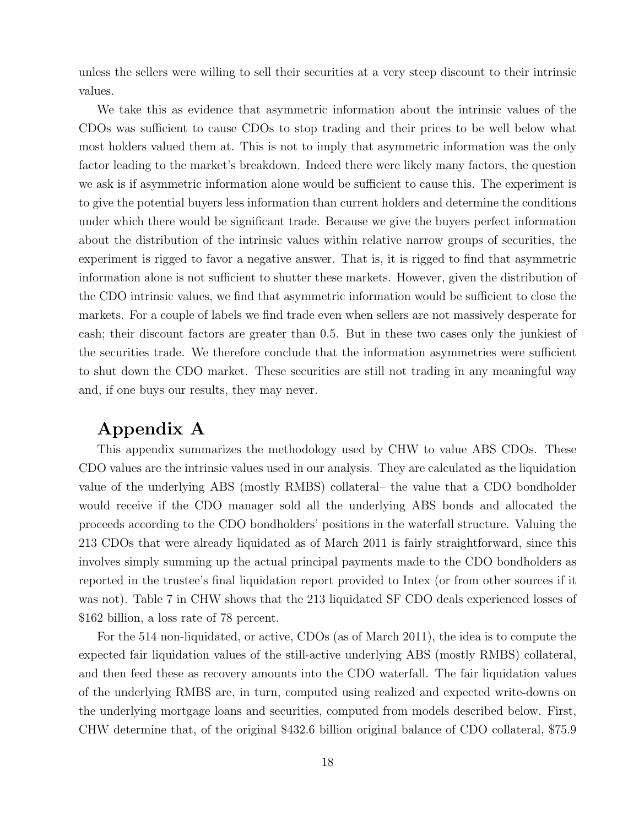unless the sellers were willing to sell their securities at a very steep discount to their intrinsic values.

We take this as evidence that asymmetric information about the intrinsic values of the CDOs was sufficient to cause CDOs to stop trading and their prices to be well below what most holders valued them at. This is not to imply that asymmetric information was the only factor leading to the market's breakdown. Indeed there were likely many factors, the question we ask is if asymmetric information alone would be sufficient to cause this. The experiment is to give the potential buyers less information than current holders and determine the conditions under which there would be significant trade. Because we give the buyers perfect information about the distribution of the intrinsic values within relative narrow groups of securities, the experiment is rigged to favor a negative answer. That is, it is rigged to find that asymmetric information alone is not sufficient to shutter these markets. However, given the distribution of the CDO intrinsic values, we find that asymmetric information would be sufficient to close the markets. For a couple of labels we find trade even when sellers are not massively desperate for cash; their discount factors are greater than 0.5. But in these two cases only the junkiest of the securities trade. We therefore conclude that the information asymmetries were sufficient to shut down the CDO market. These securities are still not trading in any meaningful way and, if one buys our results, they may never.

## Appendix A

This appendix summarizes the methodology used by CHW to value ABS CDOs. These CDO values are the intrinsic values used in our analysis. They are calculated as the liquidation value of the underlying ABS (mostly RMBS) collateral– the value that a CDO bondholder would receive if the CDO manager sold all the underlying ABS bonds and allocated the proceeds according to the CDO bondholders' positions in the waterfall structure. Valuing the 213 CDOs that were already liquidated as of March 2011 is fairly straightforward, since this involves simply summing up the actual principal payments made to the CDO bondholders as reported in the trustee's final liquidation report provided to Intex (or from other sources if it was not). Table 7 in CHW shows that the 213 liquidated SF CDO deals experienced losses of \$162 billion, a loss rate of 78 percent.

For the 514 non-liquidated, or active, CDOs (as of March 2011), the idea is to compute the expected fair liquidation values of the still-active underlying ABS (mostly RMBS) collateral, and then feed these as recovery amounts into the CDO waterfall. The fair liquidation values of the underlying RMBS are, in turn, computed using realized and expected write-downs on the underlying mortgage loans and securities, computed from models described below. First, CHW determine that, of the original \$432.6 billion original balance of CDO collateral, \$75.9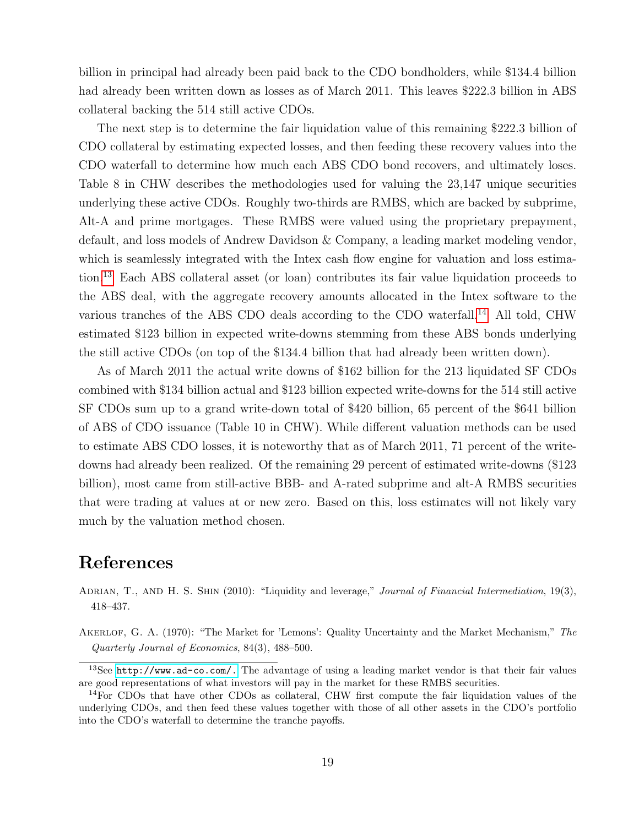billion in principal had already been paid back to the CDO bondholders, while \$134.4 billion had already been written down as losses as of March 2011. This leaves \$222.3 billion in ABS collateral backing the 514 still active CDOs.

The next step is to determine the fair liquidation value of this remaining \$222.3 billion of CDO collateral by estimating expected losses, and then feeding these recovery values into the CDO waterfall to determine how much each ABS CDO bond recovers, and ultimately loses. Table 8 in CHW describes the methodologies used for valuing the 23,147 unique securities underlying these active CDOs. Roughly two-thirds are RMBS, which are backed by subprime, Alt-A and prime mortgages. These RMBS were valued using the proprietary prepayment, default, and loss models of Andrew Davidson & Company, a leading market modeling vendor, which is seamlessly integrated with the Intex cash flow engine for valuation and loss estimation.[13](#page-1-0) Each ABS collateral asset (or loan) contributes its fair value liquidation proceeds to the ABS deal, with the aggregate recovery amounts allocated in the Intex software to the various tranches of the ABS CDO deals according to the CDO waterfall.<sup>[14](#page-1-0)</sup> All told, CHW estimated \$123 billion in expected write-downs stemming from these ABS bonds underlying the still active CDOs (on top of the \$134.4 billion that had already been written down).

As of March 2011 the actual write downs of \$162 billion for the 213 liquidated SF CDOs combined with \$134 billion actual and \$123 billion expected write-downs for the 514 still active SF CDOs sum up to a grand write-down total of \$420 billion, 65 percent of the \$641 billion of ABS of CDO issuance (Table 10 in CHW). While different valuation methods can be used to estimate ABS CDO losses, it is noteworthy that as of March 2011, 71 percent of the writedowns had already been realized. Of the remaining 29 percent of estimated write-downs (\$123 billion), most came from still-active BBB- and A-rated subprime and alt-A RMBS securities that were trading at values at or new zero. Based on this, loss estimates will not likely vary much by the valuation method chosen.

## References

- <span id="page-19-0"></span>ADRIAN, T., AND H. S. SHIN (2010): "Liquidity and leverage," Journal of Financial Intermediation, 19(3), 418–437.
- <span id="page-19-1"></span>AKERLOF, G. A. (1970): "The Market for 'Lemons': Quality Uncertainty and the Market Mechanism," The Quarterly Journal of Economics, 84(3), 488–500.

<sup>13</sup>See <http://www.ad-co.com/.> The advantage of using a leading market vendor is that their fair values are good representations of what investors will pay in the market for these RMBS securities.

 $14$ For CDOs that have other CDOs as collateral, CHW first compute the fair liquidation values of the underlying CDOs, and then feed these values together with those of all other assets in the CDO's portfolio into the CDO's waterfall to determine the tranche payoffs.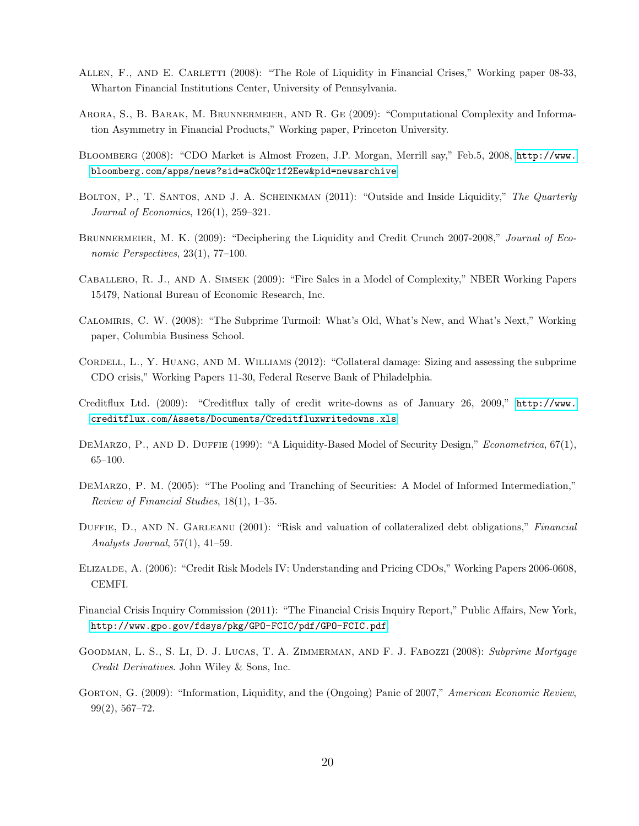- <span id="page-20-1"></span>ALLEN, F., AND E. CARLETTI (2008): "The Role of Liquidity in Financial Crises," Working paper 08-33, Wharton Financial Institutions Center, University of Pennsylvania.
- <span id="page-20-7"></span>ARORA, S., B. BARAK, M. BRUNNERMEIER, AND R. GE (2009): "Computational Complexity and Information Asymmetry in Financial Products," Working paper, Princeton University.
- <span id="page-20-10"></span>Bloomberg (2008): "CDO Market is Almost Frozen, J.P. Morgan, Merrill say," Feb.5, 2008, [http://www.](http://www.bloomberg.com/apps/news?sid=aCk0Qr1f2Eew&pid=newsarchive) [bloomberg.com/apps/news?sid=aCk0Qr1f2Eew&pid=newsarchive](http://www.bloomberg.com/apps/news?sid=aCk0Qr1f2Eew&pid=newsarchive).
- <span id="page-20-2"></span>BOLTON, P., T. SANTOS, AND J. A. SCHEINKMAN (2011): "Outside and Inside Liquidity," The Quarterly Journal of Economics, 126(1), 259–321.
- <span id="page-20-14"></span>BRUNNERMEIER, M. K. (2009): "Deciphering the Liquidity and Credit Crunch 2007-2008," Journal of Economic Perspectives, 23(1), 77–100.
- <span id="page-20-3"></span>Caballero, R. J., and A. Simsek (2009): "Fire Sales in a Model of Complexity," NBER Working Papers 15479, National Bureau of Economic Research, Inc.
- <span id="page-20-4"></span>Calomiris, C. W. (2008): "The Subprime Turmoil: What's Old, What's New, and What's Next," Working paper, Columbia Business School.
- <span id="page-20-9"></span>CORDELL, L., Y. HUANG, AND M. WILLIAMS (2012): "Collateral damage: Sizing and assessing the subprime CDO crisis," Working Papers 11-30, Federal Reserve Bank of Philadelphia.
- <span id="page-20-15"></span>Creditflux Ltd. (2009): "Creditflux tally of credit write-downs as of January 26, 2009," [http://www.](http://www.creditflux.com/Assets/Documents/Creditfluxwritedowns.xls) [creditflux.com/Assets/Documents/Creditfluxwritedowns.xls](http://www.creditflux.com/Assets/Documents/Creditfluxwritedowns.xls).
- <span id="page-20-6"></span>DEMARZO, P., AND D. DUFFIE (1999): "A Liquidity-Based Model of Security Design," *Econometrica*, 67(1), 65–100.
- <span id="page-20-5"></span>DeMarzo, P. M. (2005): "The Pooling and Tranching of Securities: A Model of Informed Intermediation," Review of Financial Studies, 18(1), 1–35.
- <span id="page-20-11"></span>DUFFIE, D., AND N. GARLEANU (2001): "Risk and valuation of collateralized debt obligations," Financial Analysts Journal,  $57(1)$ ,  $41-59$ .
- <span id="page-20-12"></span>Elizalde, A. (2006): "Credit Risk Models IV: Understanding and Pricing CDOs," Working Papers 2006-0608, CEMFI.
- <span id="page-20-8"></span>Financial Crisis Inquiry Commission (2011): "The Financial Crisis Inquiry Report," Public Affairs, New York, <http://www.gpo.gov/fdsys/pkg/GPO-FCIC/pdf/GPO-FCIC.pdf>.
- <span id="page-20-13"></span>Goodman, L. S., S. Li, D. J. Lucas, T. A. Zimmerman, and F. J. Fabozzi (2008): Subprime Mortgage Credit Derivatives. John Wiley & Sons, Inc.
- <span id="page-20-0"></span>GORTON, G. (2009): "Information, Liquidity, and the (Ongoing) Panic of 2007," American Economic Review, 99(2), 567–72.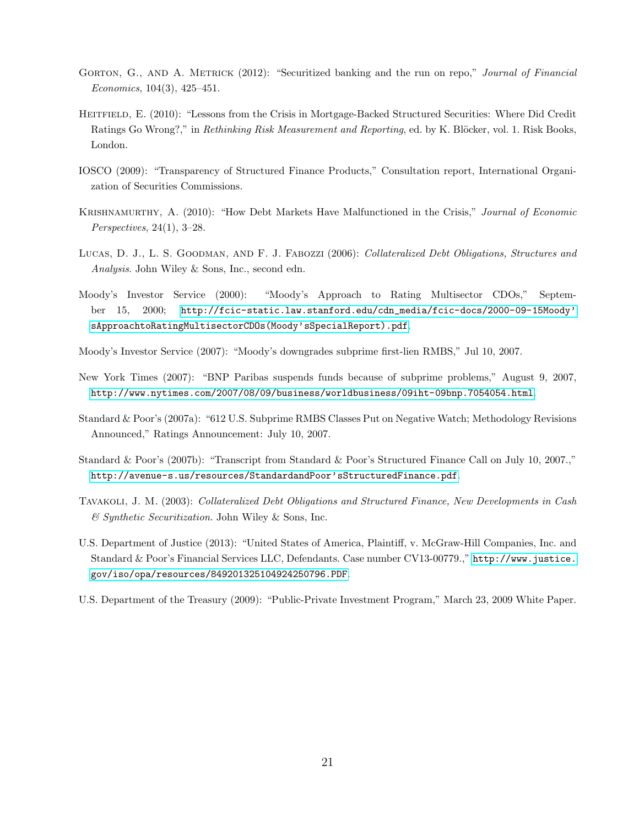- <span id="page-21-1"></span>GORTON, G., AND A. METRICK (2012): "Securitized banking and the run on repo," Journal of Financial Economics, 104(3), 425–451.
- <span id="page-21-7"></span>HEITFIELD, E. (2010): "Lessons from the Crisis in Mortgage-Backed Structured Securities: Where Did Credit Ratings Go Wrong?," in Rethinking Risk Measurement and Reporting, ed. by K. Blöcker, vol. 1. Risk Books, London.
- <span id="page-21-2"></span>IOSCO (2009): "Transparency of Structured Finance Products," Consultation report, International Organization of Securities Commissions.
- <span id="page-21-0"></span>KRISHNAMURTHY, A. (2010): "How Debt Markets Have Malfunctioned in the Crisis," Journal of Economic Perspectives, 24(1), 3–28.
- <span id="page-21-3"></span>LUCAS, D. J., L. S. GOODMAN, AND F. J. FABOZZI (2006): Collateralized Debt Obligations, Structures and Analysis. John Wiley & Sons, Inc., second edn.
- <span id="page-21-9"></span>Moody's Investor Service (2000): "Moody's Approach to Rating Multisector CDOs," September 15, 2000; [http://fcic-static.law.stanford.edu/cdn\\_media/fcic-docs/2000-09-15Moody'](http://fcic-static.law.stanford.edu/cdn_media/fcic-docs/2000-09-15 Moody) [sApproachtoRatingMultisectorCDOs\(Moody'sSpecialReport\).pdf](http://fcic-static.law.stanford.edu/cdn_media/fcic-docs/2000-09-15 Moody).
- <span id="page-21-4"></span>Moody's Investor Service (2007): "Moody's downgrades subprime first-lien RMBS," Jul 10, 2007.
- <span id="page-21-8"></span>New York Times (2007): "BNP Paribas suspends funds because of subprime problems," August 9, 2007, <http://www.nytimes.com/2007/08/09/business/worldbusiness/09iht-09bnp.7054054.html>.
- <span id="page-21-5"></span>Standard & Poor's (2007a): "612 U.S. Subprime RMBS Classes Put on Negative Watch; Methodology Revisions Announced," Ratings Announcement: July 10, 2007.
- <span id="page-21-6"></span>Standard & Poor's (2007b): "Transcript from Standard & Poor's Structured Finance Call on July 10, 2007.," [http://avenue-s.us/resources/StandardandPoor'sStructuredFinance.pdf](http://avenue-s.us/resources/Standard and Poor).
- <span id="page-21-12"></span>Tavakoli, J. M. (2003): Collateralized Debt Obligations and Structured Finance, New Developments in Cash & Synthetic Securitization. John Wiley & Sons, Inc.
- <span id="page-21-11"></span>U.S. Department of Justice (2013): "United States of America, Plaintiff, v. McGraw-Hill Companies, Inc. and Standard & Poor's Financial Services LLC, Defendants. Case number CV13-00779.," [http://www.justice.](http://www.justice.gov/iso/opa/resources/849201325104924250796.PDF) [gov/iso/opa/resources/849201325104924250796.PDF](http://www.justice.gov/iso/opa/resources/849201325104924250796.PDF).
- <span id="page-21-10"></span>U.S. Department of the Treasury (2009): "Public-Private Investment Program," March 23, 2009 White Paper.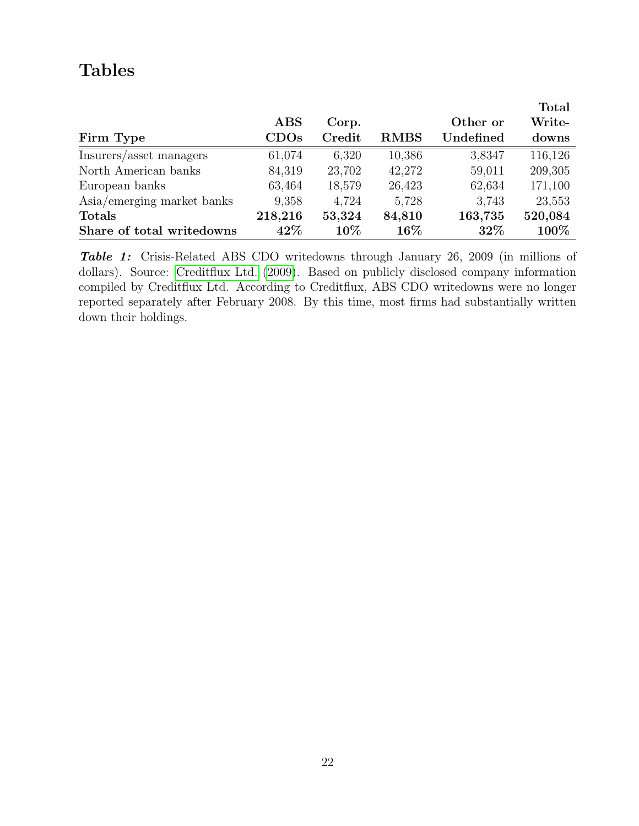# Tables

<span id="page-22-0"></span>

|                            |            |        |             |           | Total   |
|----------------------------|------------|--------|-------------|-----------|---------|
|                            | <b>ABS</b> | Corp.  |             | Other or  | Write-  |
| Firm Type                  | CDOs       | Credit | <b>RMBS</b> | Undefined | downs   |
| Insurers/asset managers    | 61,074     | 6,320  | 10,386      | 3,8347    | 116,126 |
| North American banks       | 84,319     | 23,702 | 42,272      | 59,011    | 209,305 |
| European banks             | 63,464     | 18,579 | 26,423      | 62,634    | 171,100 |
| Asia/emerging market banks | 9,358      | 4,724  | 5,728       | 3,743     | 23,553  |
| <b>Totals</b>              | 218,216    | 53,324 | 84,810      | 163,735   | 520,084 |
| Share of total writedowns  | $42\%$     | $10\%$ | $16\%$      | 32\%      | $100\%$ |

Table 1: Crisis-Related ABS CDO writedowns through January 26, 2009 (in millions of dollars). Source: [Creditflux Ltd.](#page-20-15) [\(2009\)](#page-20-15). Based on publicly disclosed company information compiled by Creditflux Ltd. According to Creditflux, ABS CDO writedowns were no longer reported separately after February 2008. By this time, most firms had substantially written down their holdings.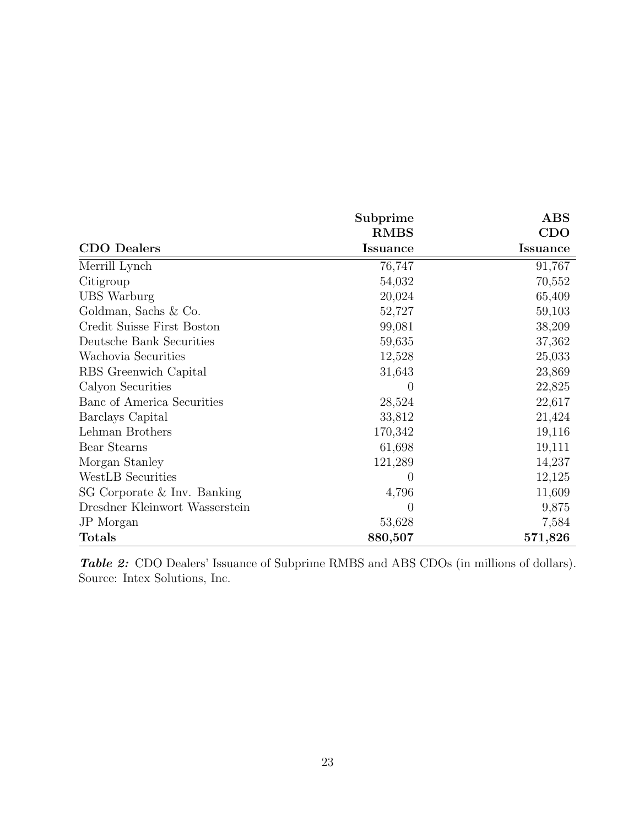<span id="page-23-0"></span>

|                                  | Subprime        | <b>ABS</b>      |
|----------------------------------|-----------------|-----------------|
|                                  | <b>RMBS</b>     | <b>CDO</b>      |
| <b>CDO</b> Dealers               | <b>Issuance</b> | <b>Issuance</b> |
| Merrill Lynch                    | 76,747          | 91,767          |
| Citigroup                        | 54,032          | 70,552          |
| UBS Warburg                      | 20,024          | 65,409          |
| Goldman, Sachs & Co.             | 52,727          | 59,103          |
| Credit Suisse First Boston       | 99,081          | 38,209          |
| Deutsche Bank Securities         | 59,635          | 37,362          |
| Wachovia Securities              | 12,528          | 25,033          |
| RBS Greenwich Capital            | 31,643          | 23,869          |
| Calyon Securities                | $\theta$        | 22,825          |
| Banc of America Securities       | 28,524          | 22,617          |
| Barclays Capital                 | 33,812          | 21,424          |
| Lehman Brothers                  | 170,342         | 19,116          |
| Bear Stearns                     | 61,698          | 19,111          |
| Morgan Stanley                   | 121,289         | 14,237          |
| <b>WestLB</b> Securities         | $\theta$        | 12,125          |
| $SG$ Corporate $\&$ Inv. Banking | 4,796           | 11,609          |
| Dresdner Kleinwort Wasserstein   | $\theta$        | 9,875           |
| JP Morgan                        | 53,628          | 7,584           |
| <b>Totals</b>                    | 880,507         | 571,826         |

Table 2: CDO Dealers' Issuance of Subprime RMBS and ABS CDOs (in millions of dollars). Source: Intex Solutions, Inc.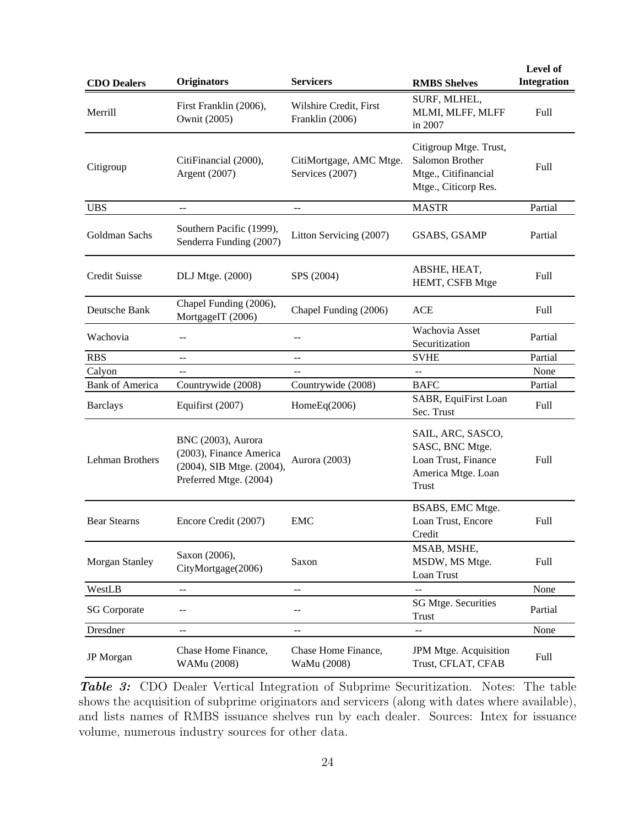<span id="page-24-0"></span>

| <b>CDO</b> Dealers     | <b>Originators</b>                                                                                   | <b>Servicers</b>                           | <b>RMBS</b> Shelves                                                                        | Level of<br><b>Integration</b> |
|------------------------|------------------------------------------------------------------------------------------------------|--------------------------------------------|--------------------------------------------------------------------------------------------|--------------------------------|
| Merrill                | First Franklin (2006),<br><b>Ownit</b> (2005)                                                        | Wilshire Credit, First<br>Franklin (2006)  | SURF, MLHEL,<br>MLMI, MLFF, MLFF<br>in 2007                                                | Full                           |
| Citigroup              | CitiFinancial (2000),<br>Argent (2007)                                                               | CitiMortgage, AMC Mtge.<br>Services (2007) | Citigroup Mtge. Trust,<br>Salomon Brother<br>Mtge., Citifinancial<br>Mtge., Citicorp Res.  | Full                           |
| <b>UBS</b>             | $-$                                                                                                  | $-$                                        | <b>MASTR</b>                                                                               | Partial                        |
| Goldman Sachs          | Southern Pacific (1999),<br>Senderra Funding (2007)                                                  | Litton Servicing (2007)                    | GSABS, GSAMP                                                                               | Partial                        |
| Credit Suisse          | DLJ Mtge. (2000)                                                                                     | SPS (2004)                                 | ABSHE, HEAT,<br>HEMT, CSFB Mtge                                                            | Full                           |
| Deutsche Bank          | Chapel Funding (2006),<br>MortgageIT (2006)                                                          | Chapel Funding (2006)                      | <b>ACE</b>                                                                                 | Full                           |
| Wachovia               |                                                                                                      |                                            | Wachovia Asset<br>Securitization                                                           | Partial                        |
| <b>RBS</b>             | $-$                                                                                                  | --                                         | <b>SVHE</b>                                                                                | Partial                        |
| Calyon                 |                                                                                                      |                                            | --                                                                                         | None                           |
| <b>Bank of America</b> | Countrywide (2008)                                                                                   | Countrywide (2008)                         | <b>BAFC</b>                                                                                | Partial                        |
| <b>Barclays</b>        | Equifirst (2007)                                                                                     | HomeEq(2006)                               | SABR, EquiFirst Loan<br>Sec. Trust                                                         | <b>Full</b>                    |
| Lehman Brothers        | BNC (2003), Aurora<br>(2003), Finance America<br>(2004), SIB Mtge. (2004),<br>Preferred Mtge. (2004) | Aurora (2003)                              | SAIL, ARC, SASCO,<br>SASC, BNC Mtge.<br>Loan Trust, Finance<br>America Mtge. Loan<br>Trust | Full                           |
| <b>Bear Stearns</b>    | Encore Credit (2007)                                                                                 | <b>EMC</b>                                 | BSABS, EMC Mtge.<br>Loan Trust, Encore<br>Credit                                           | Full                           |
| Morgan Stanley         | Saxon (2006),<br>CityMortgage(2006)                                                                  | Saxon                                      | MSAB, MSHE,<br>MSDW, MS Mtge.<br>Loan Trust                                                | Full                           |
| WestLB                 | --                                                                                                   | $-$                                        | $\overline{a}$                                                                             | None                           |
| <b>SG</b> Corporate    |                                                                                                      | $-$                                        | SG Mtge. Securities<br>Trust                                                               | Partial                        |
| Dresdner               | $-$                                                                                                  | --                                         | --                                                                                         | None                           |
| JP Morgan              | Chase Home Finance,<br>WAMu (2008)                                                                   | Chase Home Finance,<br>WaMu (2008)         | JPM Mtge. Acquisition<br>Trust, CFLAT, CFAB                                                | Full                           |

Table 3: CDO Dealer Vertical Integration of Subprime Securitization. Notes: The table shows the acquisition of subprime originators and servicers (along with dates where available), and lists names of RMBS issuance shelves run by each dealer. Sources: Intex for issuance volume, numerous industry sources for other data.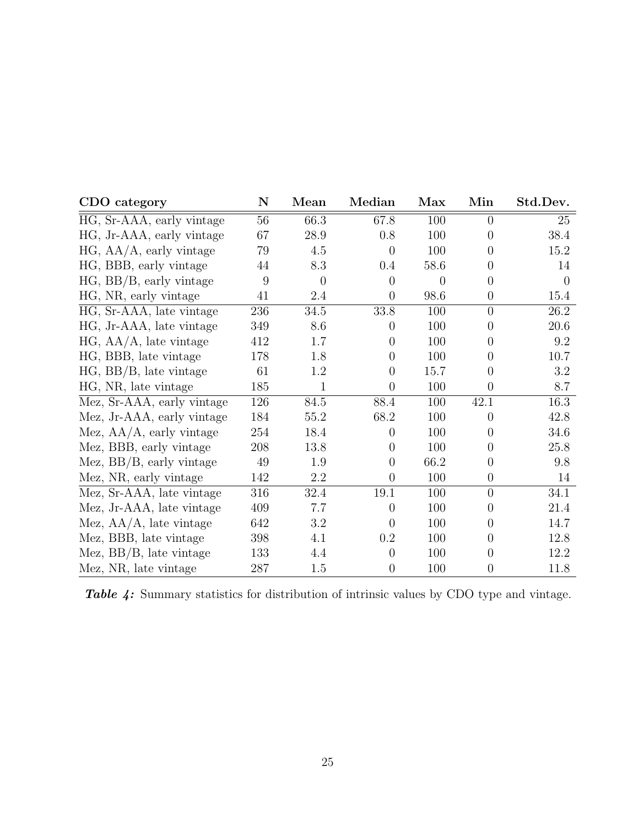<span id="page-25-0"></span>

| CDO category                | $\mathbf N$ | Mean           | Median         | Max      | Min              | Std.Dev. |
|-----------------------------|-------------|----------------|----------------|----------|------------------|----------|
| HG, Sr-AAA, early vintage   | $56\,$      | 66.3           | 67.8           | 100      | $\overline{0}$   | 25       |
| HG, Jr-AAA, early vintage   | 67          | 28.9           | 0.8            | 100      | $\theta$         | 38.4     |
| HG, AA/A, early vintage     | 79          | 4.5            | $\overline{0}$ | 100      | $\overline{0}$   | 15.2     |
| HG, BBB, early vintage      | 44          | 8.3            | 0.4            | 58.6     | 0                | 14       |
| HG, BB/B, early vintage     | 9           | $\overline{0}$ | $\overline{0}$ | $\theta$ | $\overline{0}$   | $\Omega$ |
| HG, NR, early vintage       | 41          | 2.4            | $\overline{0}$ | 98.6     | $\boldsymbol{0}$ | 15.4     |
| HG, Sr-AAA, late vintage    | 236         | 34.5           | 33.8           | 100      | $\overline{0}$   | 26.2     |
| HG, Jr-AAA, late vintage    | 349         | 8.6            | $\overline{0}$ | 100      | $\theta$         | $20.6\,$ |
| HG, AA/A, late vintage      | 412         | 1.7            | $\overline{0}$ | 100      | $\overline{0}$   | 9.2      |
| HG, BBB, late vintage       | 178         | 1.8            | $\overline{0}$ | 100      | $\theta$         | 10.7     |
| HG, BB/B, late vintage      | 61          | 1.2            | $\overline{0}$ | 15.7     | 0                | 3.2      |
| HG, NR, late vintage        | 185         | $\mathbf{1}$   | $\overline{0}$ | 100      | $\overline{0}$   | 8.7      |
| Mez, Sr-AAA, early vintage  | 126         | 84.5           | 88.4           | 100      | 42.1             | 16.3     |
| Mez, Jr-AAA, early vintage  | 184         | 55.2           | 68.2           | 100      | $\overline{0}$   | 42.8     |
| Mez, $AA/A$ , early vintage | 254         | 18.4           | $\overline{0}$ | 100      | $\overline{0}$   | 34.6     |
| Mez, BBB, early vintage     | 208         | 13.8           | $\overline{0}$ | 100      | $\boldsymbol{0}$ | 25.8     |
| Mez, BB/B, early vintage    | 49          | 1.9            | $\overline{0}$ | 66.2     | $\overline{0}$   | 9.8      |
| Mez, NR, early vintage      | 142         | 2.2            | $\overline{0}$ | 100      | $\boldsymbol{0}$ | 14       |
| Mez, Sr-AAA, late vintage   | 316         | 32.4           | 19.1           | 100      | $\overline{0}$   | 34.1     |
| Mez, Jr-AAA, late vintage   | 409         | 7.7            | $\overline{0}$ | 100      | $\overline{0}$   | 21.4     |
| Mez, $AA/A$ , late vintage  | 642         | 3.2            | $\overline{0}$ | 100      | $\theta$         | 14.7     |
| Mez, BBB, late vintage      | 398         | 4.1            | $0.2\,$        | 100      | $\theta$         | 12.8     |
| Mez, $BB/B$ , late vintage  | 133         | 4.4            | $\overline{0}$ | 100      | 0                | 12.2     |
| Mez, NR, late vintage       | 287         | 1.5            | $\overline{0}$ | 100      | $\overline{0}$   | 11.8     |

Table 4: Summary statistics for distribution of intrinsic values by CDO type and vintage.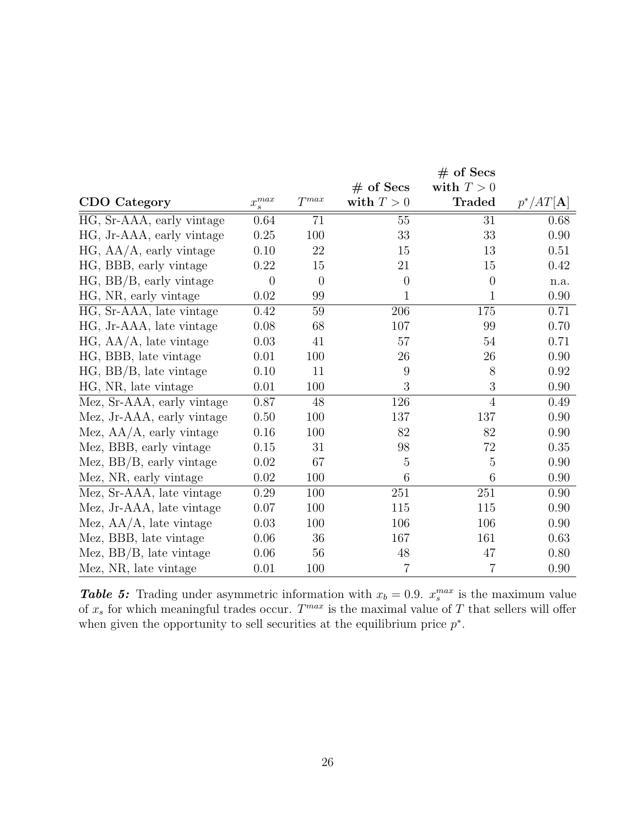<span id="page-26-0"></span>

|                             |                |           |                | $#$ of Secs    |                      |
|-----------------------------|----------------|-----------|----------------|----------------|----------------------|
|                             |                |           | $#$ of Secs    | with $T > 0$   |                      |
| CDO Category                | $x_s^{\max}$   | $T^{max}$ | with $T>0$     | Traded         | $p^*/AT[\mathbf{A}]$ |
| HG, Sr-AAA, early vintage   | 0.64           | 71        | 55             | 31             | 0.68                 |
| HG, Jr-AAA, early vintage   | $0.25\,$       | 100       | 33             | 33             | 0.90                 |
| HG, AA/A, early vintage     | 0.10           | $22\,$    | 15             | 13             | 0.51                 |
| HG, BBB, early vintage      | $0.22\,$       | 15        | 21             | 15             | 0.42                 |
| HG, BB/B, early vintage     | $\overline{0}$ | $\theta$  | $\overline{0}$ | $\overline{0}$ | n.a.                 |
| HG, NR, early vintage       | 0.02           | 99        | $\mathbf 1$    | $\mathbf{1}$   | $0.90\,$             |
| HG, Sr-AAA, late vintage    | 0.42           | $59\,$    | 206            | 175            | 0.71                 |
| HG, Jr-AAA, late vintage    | $0.08\,$       | 68        | 107            | 99             | 0.70                 |
| HG, AA/A, late vintage      | 0.03           | 41        | 57             | 54             | 0.71                 |
| HG, BBB, late vintage       | $0.01\,$       | 100       | 26             | 26             | $0.90\,$             |
| HG, BB/B, late vintage      | $0.10\,$       | 11        | $\overline{9}$ | 8              | 0.92                 |
| HG, NR, late vintage        | 0.01           | 100       | 3              | $\mathfrak{Z}$ | $0.90\,$             |
| Mez, Sr-AAA, early vintage  | 0.87           | 48        | 126            | $\overline{4}$ | 0.49                 |
| Mez, Jr-AAA, early vintage  | $0.50\,$       | 100       | 137            | 137            | $0.90\,$             |
| Mez, $AA/A$ , early vintage | 0.16           | 100       | 82             | 82             | 0.90                 |
| Mez, BBB, early vintage     | $0.15\,$       | 31        | 98             | $72\,$         | 0.35                 |
| Mez, $BB/B$ , early vintage | $0.02\,$       | 67        | $\overline{5}$ | $\overline{5}$ | 0.90                 |
| Mez, NR, early vintage      | $0.02\,$       | 100       | 6              | 6              | $0.90\,$             |
| Mez, Sr-AAA, late vintage   | 0.29           | 100       | 251            | $251\,$        | 0.90                 |
| Mez, Jr-AAA, late vintage   | $0.07\,$       | 100       | 115            | 115            | 0.90                 |
| Mez, $AA/A$ , late vintage  | 0.03           | 100       | 106            | 106            | 0.90                 |
| Mez, BBB, late vintage      | 0.06           | 36        | 167            | 161            | 0.63                 |
| Mez, BB/B, late vintage     | 0.06           | 56        | 48             | 47             | 0.80                 |
| Mez, NR, late vintage       | 0.01           | 100       | 7              | 7              | 0.90                 |

**Table 5:** Trading under asymmetric information with  $x_b = 0.9$ .  $x_s^{max}$  is the maximum value of  $x_s$  for which meaningful trades occur.  $T^{max}$  is the maximal value of T that sellers will offer when given the opportunity to sell securities at the equilibrium price  $p^*$ .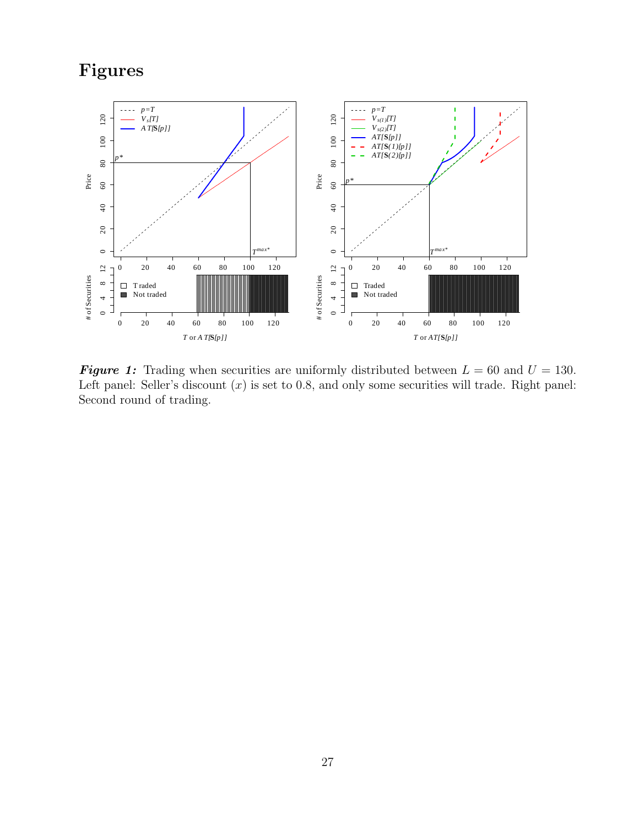## Figures

<span id="page-27-0"></span>

**Figure 1:** Trading when securities are uniformly distributed between  $L = 60$  and  $U = 130$ . Left panel: Seller's discount  $(x)$  is set to 0.8, and only some securities will trade. Right panel: Second round of trading.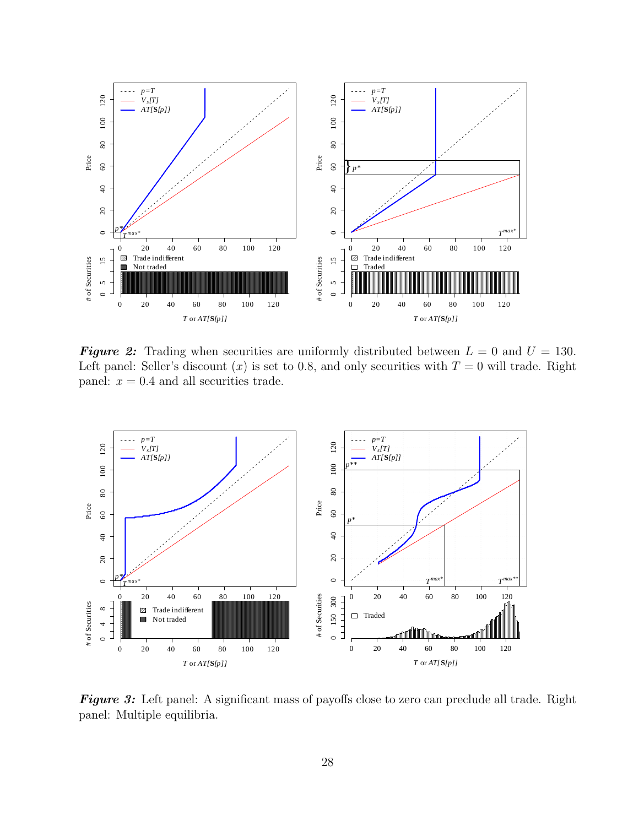<span id="page-28-1"></span>

**Figure 2:** Trading when securities are uniformly distributed between  $L = 0$  and  $U = 130$ . Left panel: Seller's discount (x) is set to 0.8, and only securities with  $T = 0$  will trade. Right panel:  $x = 0.4$  and all securities trade.

<span id="page-28-0"></span>

Figure 3: Left panel: A significant mass of payoffs close to zero can preclude all trade. Right panel: Multiple equilibria.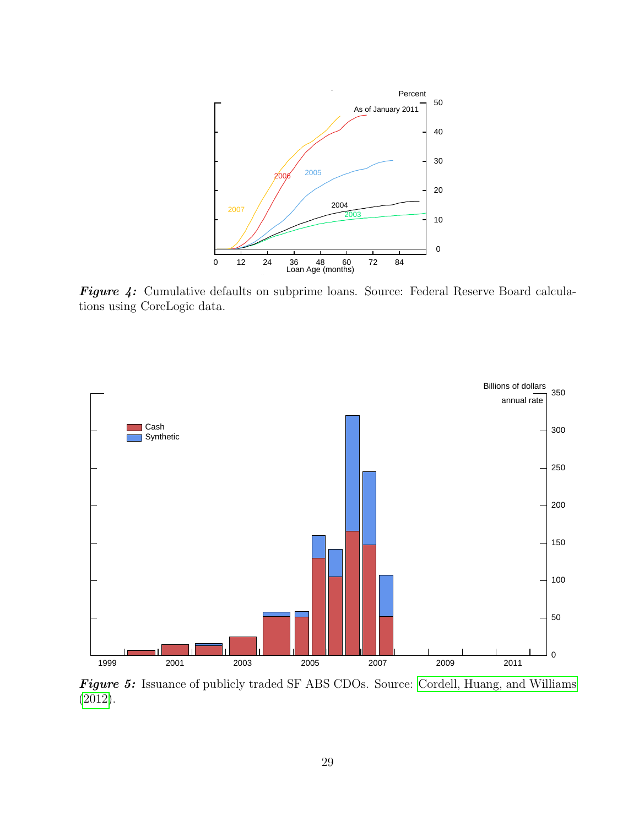<span id="page-29-0"></span>

**Figure 4:** Cumulative defaults on subprime loans. Source: Federal Reserve Board calcula- $\mathbf{A}$ tions using CoreLogic data.

<span id="page-29-1"></span>

Figure 5: Issuance of publicly traded SF ABS CDOs. Source: [Cordell, Huang, and Williams](#page-20-9) [\(2012\)](#page-20-9).